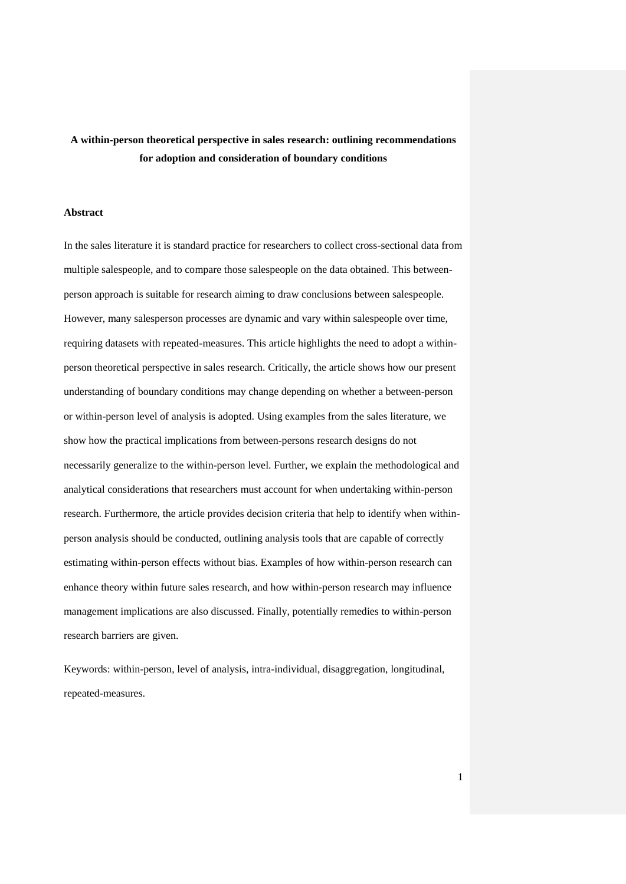# **A within-person theoretical perspective in sales research: outlining recommendations for adoption and consideration of boundary conditions**

## **Abstract**

In the sales literature it is standard practice for researchers to collect cross-sectional data from multiple salespeople, and to compare those salespeople on the data obtained. This betweenperson approach is suitable for research aiming to draw conclusions between salespeople. However, many salesperson processes are dynamic and vary within salespeople over time, requiring datasets with repeated-measures. This article highlights the need to adopt a withinperson theoretical perspective in sales research. Critically, the article shows how our present understanding of boundary conditions may change depending on whether a between-person or within-person level of analysis is adopted. Using examples from the sales literature, we show how the practical implications from between-persons research designs do not necessarily generalize to the within-person level. Further, we explain the methodological and analytical considerations that researchers must account for when undertaking within-person research. Furthermore, the article provides decision criteria that help to identify when withinperson analysis should be conducted, outlining analysis tools that are capable of correctly estimating within-person effects without bias. Examples of how within-person research can enhance theory within future sales research, and how within-person research may influence management implications are also discussed. Finally, potentially remedies to within-person research barriers are given.

Keywords: within-person, level of analysis, intra-individual, disaggregation, longitudinal, repeated-measures.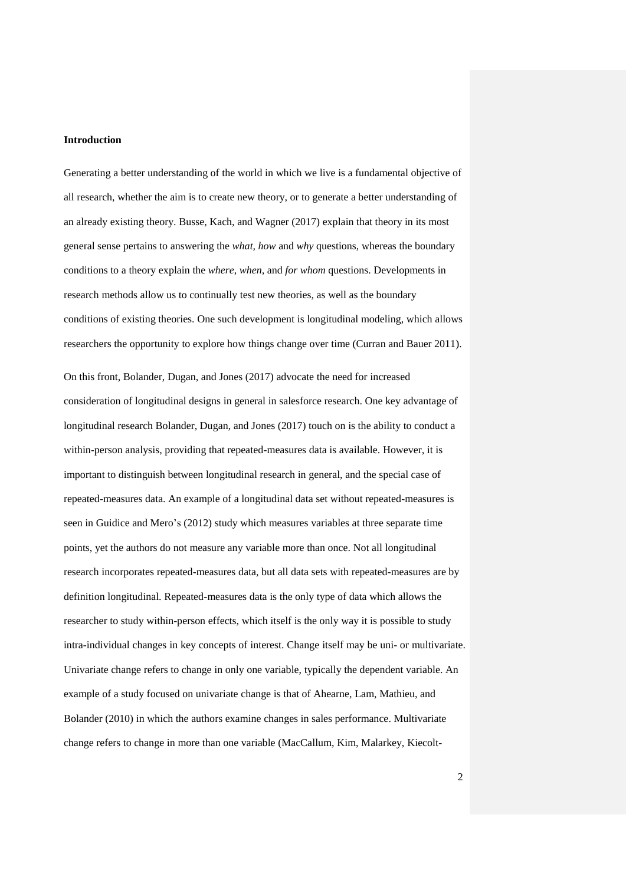## **Introduction**

Generating a better understanding of the world in which we live is a fundamental objective of all research, whether the aim is to create new theory, or to generate a better understanding of an already existing theory. Busse, Kach, and Wagner (2017) explain that theory in its most general sense pertains to answering the *what, how* and *why* questions, whereas the boundary conditions to a theory explain the *where*, *when*, and *for whom* questions. Developments in research methods allow us to continually test new theories, as well as the boundary conditions of existing theories. One such development is longitudinal modeling, which allows researchers the opportunity to explore how things change over time (Curran and Bauer 2011).

On this front, Bolander, Dugan, and Jones (2017) advocate the need for increased consideration of longitudinal designs in general in salesforce research. One key advantage of longitudinal research Bolander, Dugan, and Jones (2017) touch on is the ability to conduct a within-person analysis, providing that repeated-measures data is available. However, it is important to distinguish between longitudinal research in general, and the special case of repeated-measures data. An example of a longitudinal data set without repeated-measures is seen in Guidice and Mero's (2012) study which measures variables at three separate time points, yet the authors do not measure any variable more than once. Not all longitudinal research incorporates repeated-measures data, but all data sets with repeated-measures are by definition longitudinal. Repeated-measures data is the only type of data which allows the researcher to study within-person effects, which itself is the only way it is possible to study intra-individual changes in key concepts of interest. Change itself may be uni- or multivariate. Univariate change refers to change in only one variable, typically the dependent variable. An example of a study focused on univariate change is that of Ahearne, Lam, Mathieu, and Bolander (2010) in which the authors examine changes in sales performance. Multivariate change refers to change in more than one variable (MacCallum, Kim, Malarkey, Kiecolt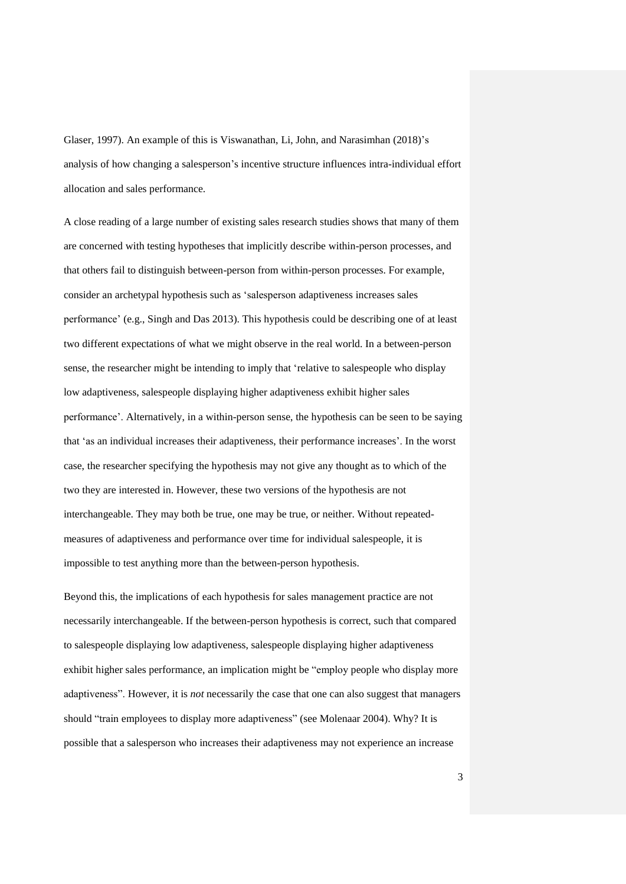Glaser, 1997). An example of this is Viswanathan, Li, John, and Narasimhan (2018)'s analysis of how changing a salesperson's incentive structure influences intra-individual effort allocation and sales performance.

A close reading of a large number of existing sales research studies shows that many of them are concerned with testing hypotheses that implicitly describe within-person processes, and that others fail to distinguish between-person from within-person processes. For example, consider an archetypal hypothesis such as 'salesperson adaptiveness increases sales performance' (e.g., Singh and Das 2013). This hypothesis could be describing one of at least two different expectations of what we might observe in the real world. In a between-person sense, the researcher might be intending to imply that 'relative to salespeople who display low adaptiveness, salespeople displaying higher adaptiveness exhibit higher sales performance'. Alternatively, in a within-person sense, the hypothesis can be seen to be saying that 'as an individual increases their adaptiveness, their performance increases'. In the worst case, the researcher specifying the hypothesis may not give any thought as to which of the two they are interested in. However, these two versions of the hypothesis are not interchangeable. They may both be true, one may be true, or neither. Without repeatedmeasures of adaptiveness and performance over time for individual salespeople, it is impossible to test anything more than the between-person hypothesis.

Beyond this, the implications of each hypothesis for sales management practice are not necessarily interchangeable. If the between-person hypothesis is correct, such that compared to salespeople displaying low adaptiveness, salespeople displaying higher adaptiveness exhibit higher sales performance, an implication might be "employ people who display more adaptiveness". However, it is *not* necessarily the case that one can also suggest that managers should "train employees to display more adaptiveness" (see Molenaar 2004). Why? It is possible that a salesperson who increases their adaptiveness may not experience an increase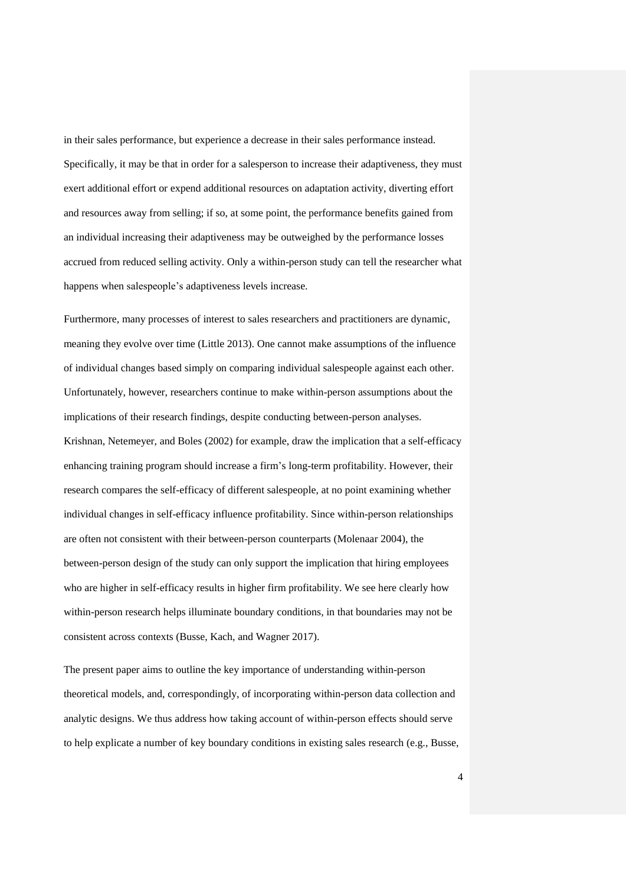in their sales performance, but experience a decrease in their sales performance instead. Specifically, it may be that in order for a salesperson to increase their adaptiveness, they must exert additional effort or expend additional resources on adaptation activity, diverting effort and resources away from selling; if so, at some point, the performance benefits gained from an individual increasing their adaptiveness may be outweighed by the performance losses accrued from reduced selling activity. Only a within-person study can tell the researcher what happens when salespeople's adaptiveness levels increase.

Furthermore, many processes of interest to sales researchers and practitioners are dynamic, meaning they evolve over time (Little 2013). One cannot make assumptions of the influence of individual changes based simply on comparing individual salespeople against each other. Unfortunately, however, researchers continue to make within-person assumptions about the implications of their research findings, despite conducting between-person analyses. Krishnan, Netemeyer, and Boles (2002) for example, draw the implication that a self-efficacy enhancing training program should increase a firm's long-term profitability. However, their research compares the self-efficacy of different salespeople, at no point examining whether individual changes in self-efficacy influence profitability. Since within-person relationships are often not consistent with their between-person counterparts (Molenaar 2004), the between-person design of the study can only support the implication that hiring employees who are higher in self-efficacy results in higher firm profitability. We see here clearly how within-person research helps illuminate boundary conditions, in that boundaries may not be consistent across contexts (Busse, Kach, and Wagner 2017).

The present paper aims to outline the key importance of understanding within-person theoretical models, and, correspondingly, of incorporating within-person data collection and analytic designs. We thus address how taking account of within-person effects should serve to help explicate a number of key boundary conditions in existing sales research (e.g., Busse,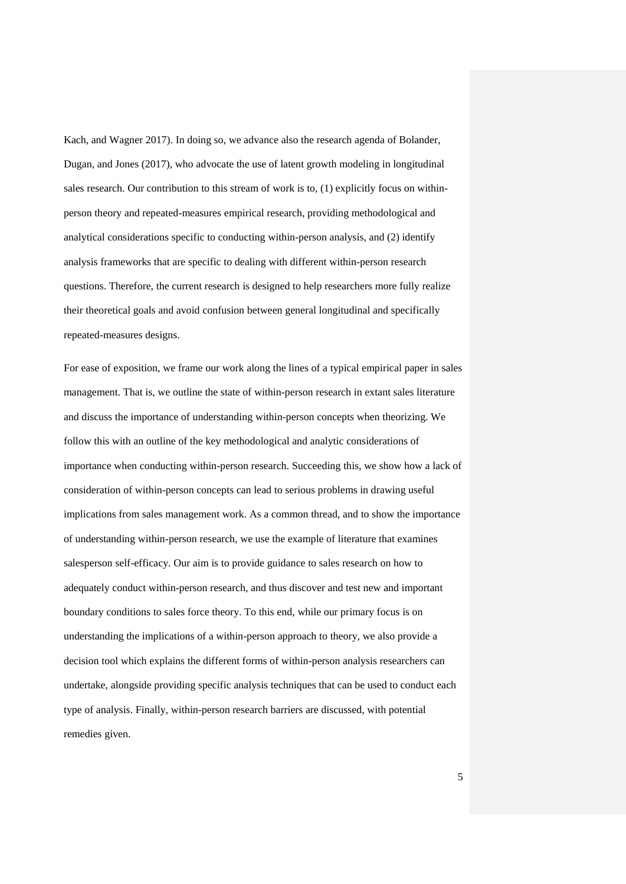Kach, and Wagner 2017). In doing so, we advance also the research agenda of Bolander, Dugan, and Jones (2017), who advocate the use of latent growth modeling in longitudinal sales research. Our contribution to this stream of work is to, (1) explicitly focus on withinperson theory and repeated-measures empirical research, providing methodological and analytical considerations specific to conducting within-person analysis, and (2) identify analysis frameworks that are specific to dealing with different within-person research questions. Therefore, the current research is designed to help researchers more fully realize their theoretical goals and avoid confusion between general longitudinal and specifically repeated-measures designs.

For ease of exposition, we frame our work along the lines of a typical empirical paper in sales management. That is, we outline the state of within-person research in extant sales literature and discuss the importance of understanding within-person concepts when theorizing. We follow this with an outline of the key methodological and analytic considerations of importance when conducting within-person research. Succeeding this, we show how a lack of consideration of within-person concepts can lead to serious problems in drawing useful implications from sales management work. As a common thread, and to show the importance of understanding within-person research, we use the example of literature that examines salesperson self-efficacy. Our aim is to provide guidance to sales research on how to adequately conduct within-person research, and thus discover and test new and important boundary conditions to sales force theory. To this end, while our primary focus is on understanding the implications of a within-person approach to theory, we also provide a decision tool which explains the different forms of within-person analysis researchers can undertake, alongside providing specific analysis techniques that can be used to conduct each type of analysis. Finally, within-person research barriers are discussed, with potential remedies given.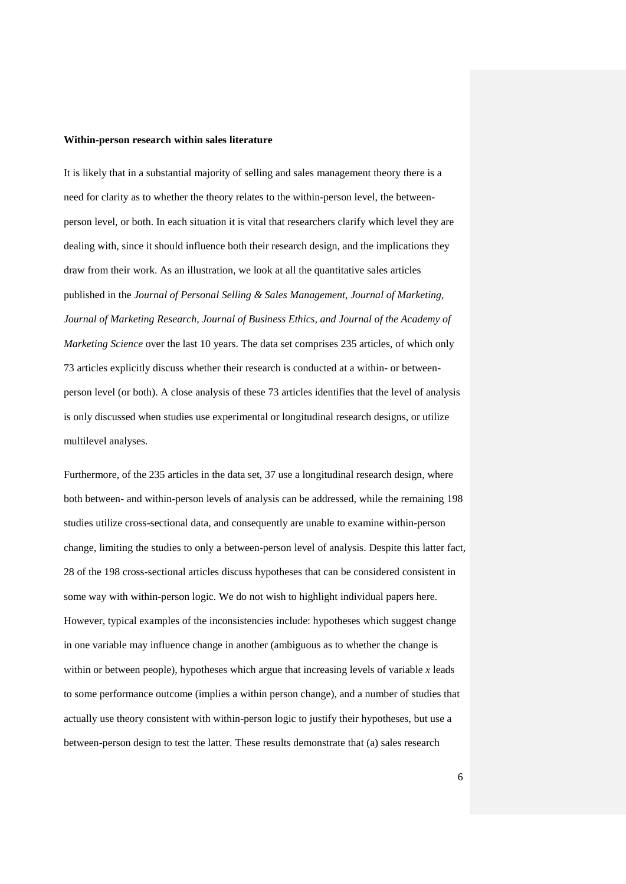#### **Within-person research within sales literature**

It is likely that in a substantial majority of selling and sales management theory there is a need for clarity as to whether the theory relates to the within-person level, the betweenperson level, or both. In each situation it is vital that researchers clarify which level they are dealing with, since it should influence both their research design, and the implications they draw from their work. As an illustration, we look at all the quantitative sales articles published in the *Journal of Personal Selling & Sales Management, Journal of Marketing, Journal of Marketing Research, Journal of Business Ethics, and Journal of the Academy of Marketing Science* over the last 10 years. The data set comprises 235 articles, of which only 73 articles explicitly discuss whether their research is conducted at a within- or betweenperson level (or both). A close analysis of these 73 articles identifies that the level of analysis is only discussed when studies use experimental or longitudinal research designs, or utilize multilevel analyses.

Furthermore, of the 235 articles in the data set, 37 use a longitudinal research design, where both between- and within-person levels of analysis can be addressed, while the remaining 198 studies utilize cross-sectional data, and consequently are unable to examine within-person change, limiting the studies to only a between-person level of analysis. Despite this latter fact, 28 of the 198 cross-sectional articles discuss hypotheses that can be considered consistent in some way with within-person logic. We do not wish to highlight individual papers here. However, typical examples of the inconsistencies include: hypotheses which suggest change in one variable may influence change in another (ambiguous as to whether the change is within or between people), hypotheses which argue that increasing levels of variable  $x$  leads to some performance outcome (implies a within person change), and a number of studies that actually use theory consistent with within-person logic to justify their hypotheses, but use a between-person design to test the latter. These results demonstrate that (a) sales research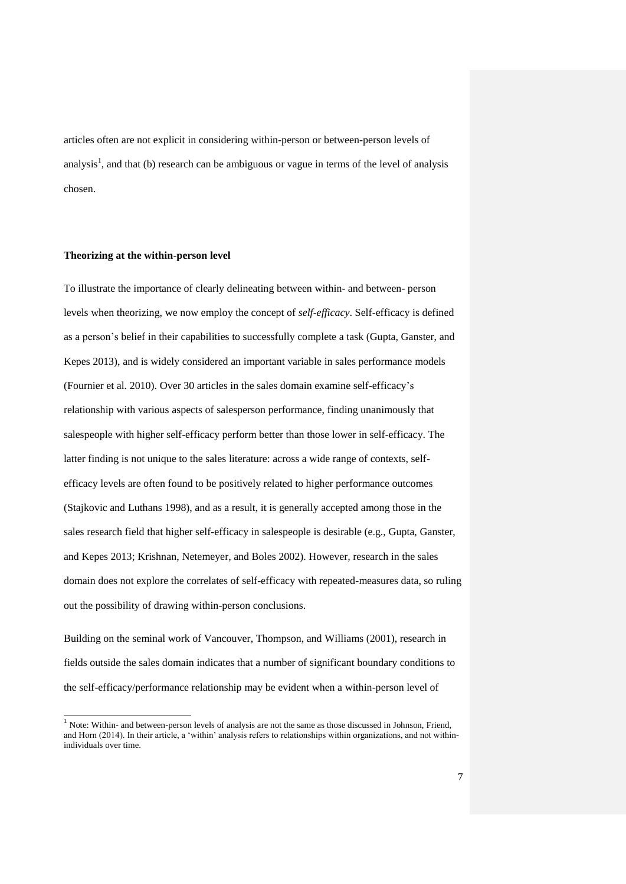articles often are not explicit in considering within-person or between-person levels of analysis<sup>1</sup>, and that (b) research can be ambiguous or vague in terms of the level of analysis chosen.

## **Theorizing at the within-person level**

l

To illustrate the importance of clearly delineating between within- and between- person levels when theorizing, we now employ the concept of *self-efficacy*. Self-efficacy is defined as a person's belief in their capabilities to successfully complete a task (Gupta, Ganster, and Kepes 2013), and is widely considered an important variable in sales performance models (Fournier et al. 2010). Over 30 articles in the sales domain examine self-efficacy's relationship with various aspects of salesperson performance, finding unanimously that salespeople with higher self-efficacy perform better than those lower in self-efficacy. The latter finding is not unique to the sales literature: across a wide range of contexts, selfefficacy levels are often found to be positively related to higher performance outcomes (Stajkovic and Luthans 1998), and as a result, it is generally accepted among those in the sales research field that higher self-efficacy in salespeople is desirable (e.g., Gupta, Ganster, and Kepes 2013; Krishnan, Netemeyer, and Boles 2002). However, research in the sales domain does not explore the correlates of self-efficacy with repeated-measures data, so ruling out the possibility of drawing within-person conclusions.

Building on the seminal work of Vancouver, Thompson, and Williams (2001), research in fields outside the sales domain indicates that a number of significant boundary conditions to the self-efficacy/performance relationship may be evident when a within-person level of

<sup>&</sup>lt;sup>1</sup> Note: Within- and between-person levels of analysis are not the same as those discussed in Johnson, Friend, and Horn (2014). In their article, a 'within' analysis refers to relationships within organizations, and not withinindividuals over time.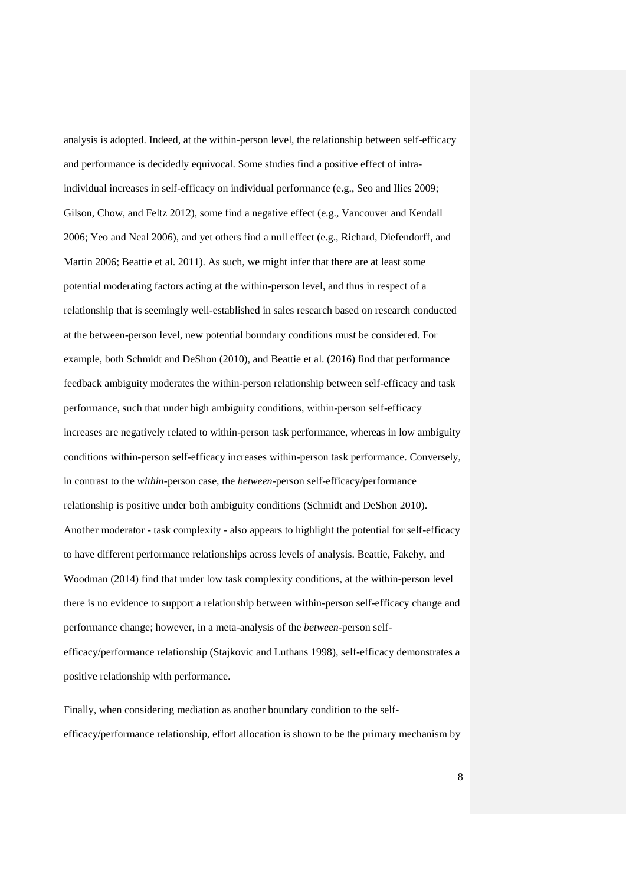analysis is adopted. Indeed, at the within-person level, the relationship between self-efficacy and performance is decidedly equivocal. Some studies find a positive effect of intraindividual increases in self-efficacy on individual performance (e.g., Seo and Ilies 2009; Gilson, Chow, and Feltz 2012), some find a negative effect (e.g., Vancouver and Kendall 2006; Yeo and Neal 2006), and yet others find a null effect (e.g., Richard, Diefendorff, and Martin 2006; Beattie et al. 2011). As such, we might infer that there are at least some potential moderating factors acting at the within-person level, and thus in respect of a relationship that is seemingly well-established in sales research based on research conducted at the between-person level, new potential boundary conditions must be considered. For example, both Schmidt and DeShon (2010), and Beattie et al. (2016) find that performance feedback ambiguity moderates the within-person relationship between self-efficacy and task performance, such that under high ambiguity conditions, within-person self-efficacy increases are negatively related to within-person task performance, whereas in low ambiguity conditions within-person self-efficacy increases within-person task performance. Conversely, in contrast to the *within*-person case, the *between*-person self-efficacy/performance relationship is positive under both ambiguity conditions (Schmidt and DeShon 2010). Another moderator - task complexity - also appears to highlight the potential for self-efficacy to have different performance relationships across levels of analysis. Beattie, Fakehy, and Woodman (2014) find that under low task complexity conditions, at the within-person level there is no evidence to support a relationship between within-person self-efficacy change and performance change; however, in a meta-analysis of the *between*-person selfefficacy/performance relationship (Stajkovic and Luthans 1998), self-efficacy demonstrates a positive relationship with performance.

Finally, when considering mediation as another boundary condition to the selfefficacy/performance relationship, effort allocation is shown to be the primary mechanism by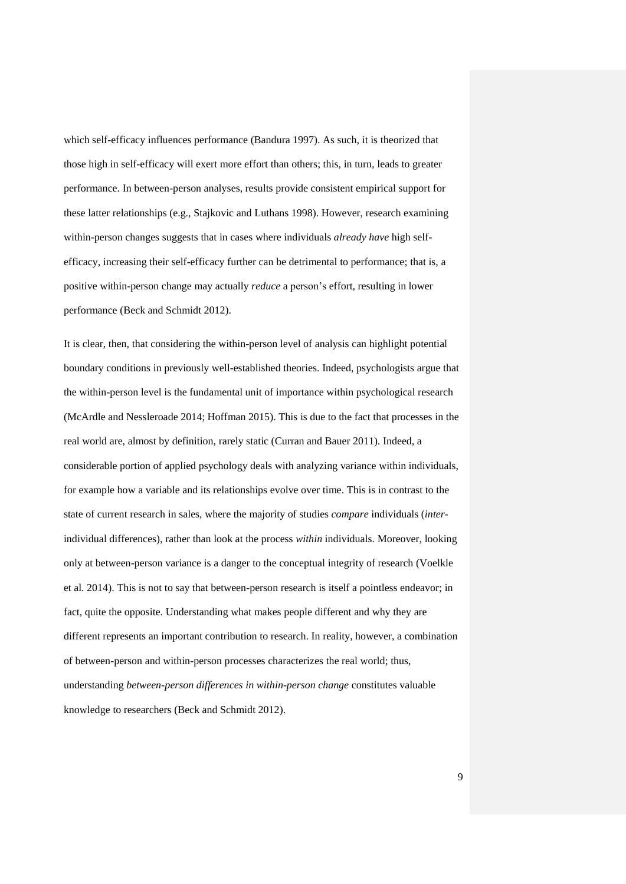which self-efficacy influences performance (Bandura 1997). As such, it is theorized that those high in self-efficacy will exert more effort than others; this, in turn, leads to greater performance. In between-person analyses, results provide consistent empirical support for these latter relationships (e.g., Stajkovic and Luthans 1998). However, research examining within-person changes suggests that in cases where individuals *already have* high selfefficacy, increasing their self-efficacy further can be detrimental to performance; that is, a positive within-person change may actually *reduce* a person's effort, resulting in lower performance (Beck and Schmidt 2012).

It is clear, then, that considering the within-person level of analysis can highlight potential boundary conditions in previously well-established theories. Indeed, psychologists argue that the within-person level is the fundamental unit of importance within psychological research (McArdle and Nessleroade 2014; Hoffman 2015). This is due to the fact that processes in the real world are, almost by definition, rarely static (Curran and Bauer 2011). Indeed, a considerable portion of applied psychology deals with analyzing variance within individuals, for example how a variable and its relationships evolve over time. This is in contrast to the state of current research in sales, where the majority of studies *compare* individuals (*inter*individual differences), rather than look at the process *within* individuals. Moreover, looking only at between-person variance is a danger to the conceptual integrity of research (Voelkle et al. 2014). This is not to say that between-person research is itself a pointless endeavor; in fact, quite the opposite. Understanding what makes people different and why they are different represents an important contribution to research. In reality, however, a combination of between-person and within-person processes characterizes the real world; thus, understanding *between-person differences in within-person change* constitutes valuable knowledge to researchers (Beck and Schmidt 2012).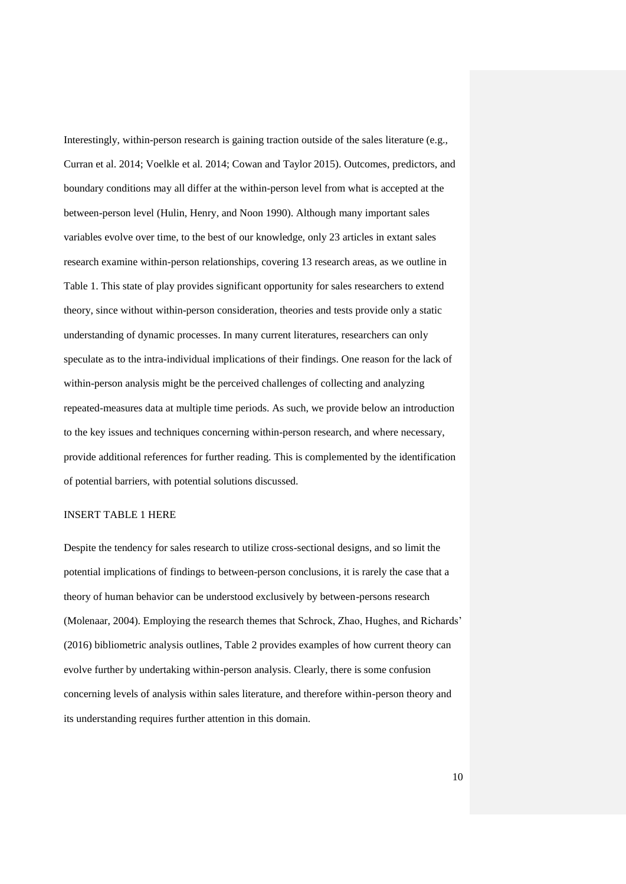Interestingly, within-person research is gaining traction outside of the sales literature (e.g., Curran et al. 2014; Voelkle et al. 2014; Cowan and Taylor 2015). Outcomes, predictors, and boundary conditions may all differ at the within-person level from what is accepted at the between-person level (Hulin, Henry, and Noon 1990). Although many important sales variables evolve over time, to the best of our knowledge, only 23 articles in extant sales research examine within-person relationships, covering 13 research areas, as we outline in Table 1. This state of play provides significant opportunity for sales researchers to extend theory, since without within-person consideration, theories and tests provide only a static understanding of dynamic processes. In many current literatures, researchers can only speculate as to the intra-individual implications of their findings. One reason for the lack of within-person analysis might be the perceived challenges of collecting and analyzing repeated-measures data at multiple time periods. As such, we provide below an introduction to the key issues and techniques concerning within-person research, and where necessary, provide additional references for further reading. This is complemented by the identification of potential barriers, with potential solutions discussed.

# INSERT TABLE 1 HERE

Despite the tendency for sales research to utilize cross-sectional designs, and so limit the potential implications of findings to between-person conclusions, it is rarely the case that a theory of human behavior can be understood exclusively by between-persons research (Molenaar, 2004). Employing the research themes that Schrock, Zhao, Hughes, and Richards' (2016) bibliometric analysis outlines, Table 2 provides examples of how current theory can evolve further by undertaking within-person analysis. Clearly, there is some confusion concerning levels of analysis within sales literature, and therefore within-person theory and its understanding requires further attention in this domain.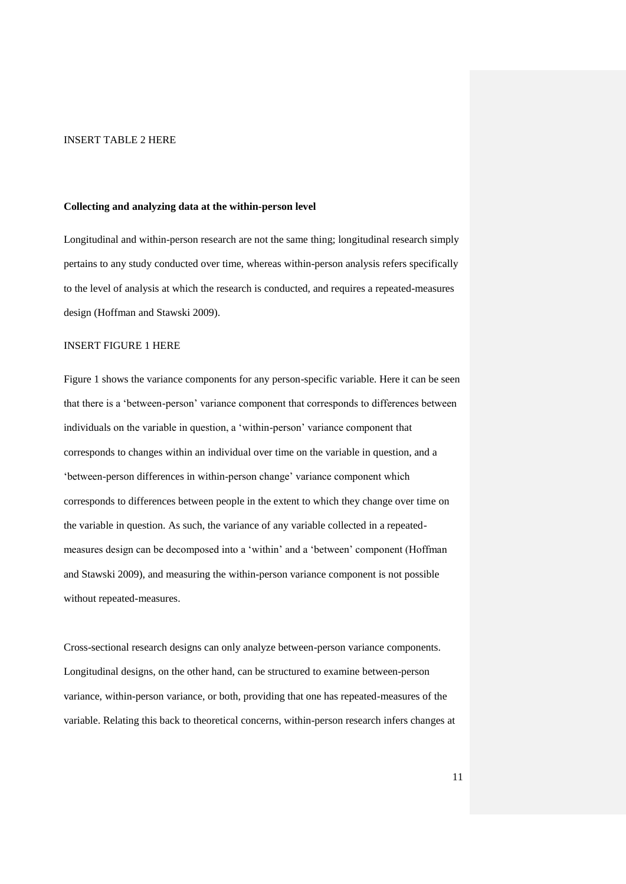## INSERT TABLE 2 HERE

## **Collecting and analyzing data at the within-person level**

Longitudinal and within-person research are not the same thing; longitudinal research simply pertains to any study conducted over time, whereas within-person analysis refers specifically to the level of analysis at which the research is conducted, and requires a repeated-measures design (Hoffman and Stawski 2009).

## INSERT FIGURE 1 HERE

Figure 1 shows the variance components for any person-specific variable. Here it can be seen that there is a 'between-person' variance component that corresponds to differences between individuals on the variable in question, a 'within-person' variance component that corresponds to changes within an individual over time on the variable in question, and a 'between-person differences in within-person change' variance component which corresponds to differences between people in the extent to which they change over time on the variable in question. As such, the variance of any variable collected in a repeatedmeasures design can be decomposed into a 'within' and a 'between' component (Hoffman and Stawski 2009), and measuring the within-person variance component is not possible without repeated-measures.

Cross-sectional research designs can only analyze between-person variance components. Longitudinal designs, on the other hand, can be structured to examine between-person variance, within-person variance, or both, providing that one has repeated-measures of the variable. Relating this back to theoretical concerns, within-person research infers changes at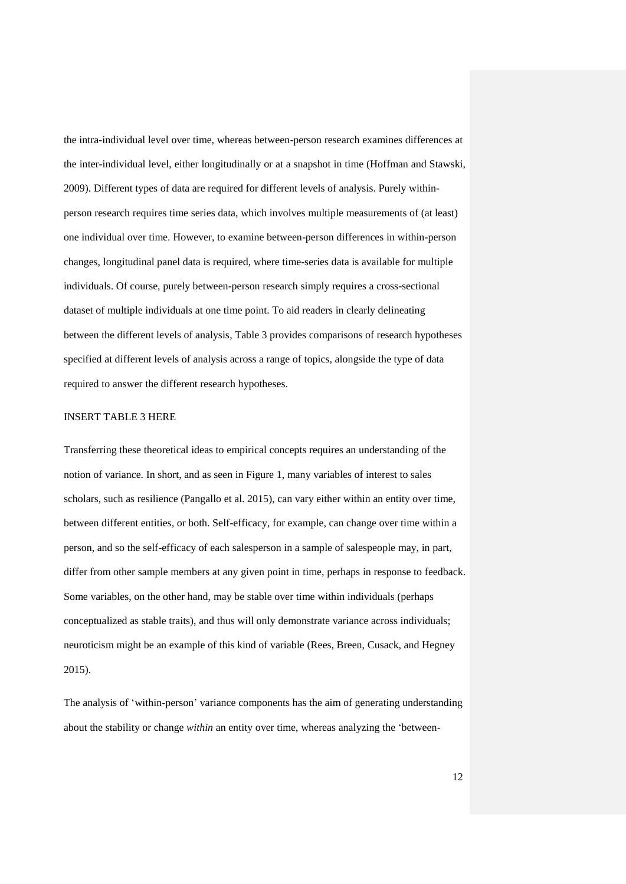the intra-individual level over time, whereas between-person research examines differences at the inter-individual level, either longitudinally or at a snapshot in time (Hoffman and Stawski, 2009). Different types of data are required for different levels of analysis. Purely withinperson research requires time series data, which involves multiple measurements of (at least) one individual over time. However, to examine between-person differences in within-person changes, longitudinal panel data is required, where time-series data is available for multiple individuals. Of course, purely between-person research simply requires a cross-sectional dataset of multiple individuals at one time point. To aid readers in clearly delineating between the different levels of analysis, Table 3 provides comparisons of research hypotheses specified at different levels of analysis across a range of topics, alongside the type of data required to answer the different research hypotheses.

## INSERT TABLE 3 HERE

Transferring these theoretical ideas to empirical concepts requires an understanding of the notion of variance. In short, and as seen in Figure 1, many variables of interest to sales scholars, such as resilience (Pangallo et al. 2015), can vary either within an entity over time, between different entities, or both. Self-efficacy, for example, can change over time within a person, and so the self-efficacy of each salesperson in a sample of salespeople may, in part, differ from other sample members at any given point in time, perhaps in response to feedback. Some variables, on the other hand, may be stable over time within individuals (perhaps conceptualized as stable traits), and thus will only demonstrate variance across individuals; neuroticism might be an example of this kind of variable (Rees, Breen, Cusack, and Hegney 2015).

The analysis of 'within-person' variance components has the aim of generating understanding about the stability or change *within* an entity over time, whereas analyzing the 'between-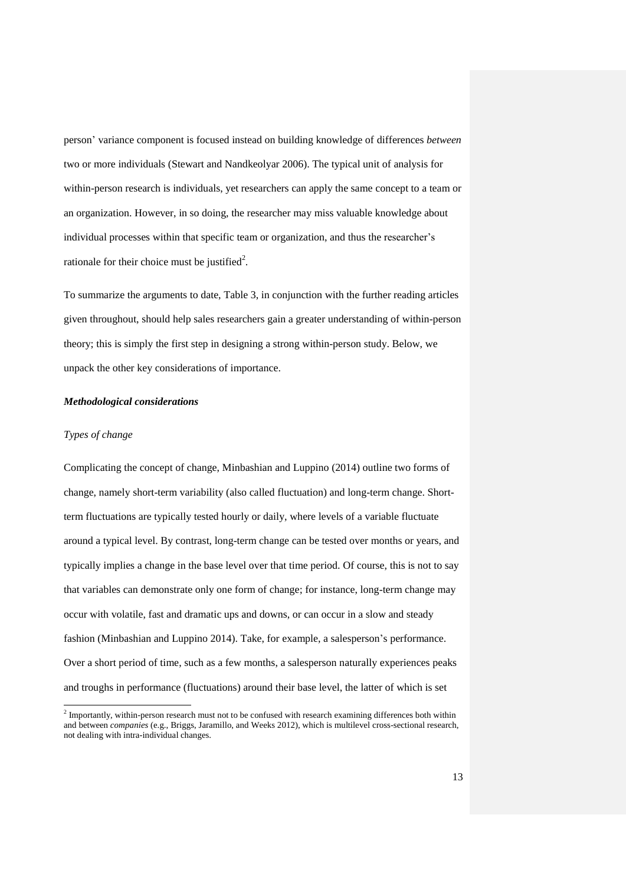person' variance component is focused instead on building knowledge of differences *between* two or more individuals (Stewart and Nandkeolyar 2006). The typical unit of analysis for within-person research is individuals, yet researchers can apply the same concept to a team or an organization. However, in so doing, the researcher may miss valuable knowledge about individual processes within that specific team or organization, and thus the researcher's rationale for their choice must be justified<sup>2</sup>.

To summarize the arguments to date, Table 3, in conjunction with the further reading articles given throughout, should help sales researchers gain a greater understanding of within-person theory; this is simply the first step in designing a strong within-person study. Below, we unpack the other key considerations of importance.

#### *Methodological considerations*

## *Types of change*

l

Complicating the concept of change, Minbashian and Luppino (2014) outline two forms of change, namely short-term variability (also called fluctuation) and long-term change. Shortterm fluctuations are typically tested hourly or daily, where levels of a variable fluctuate around a typical level. By contrast, long-term change can be tested over months or years, and typically implies a change in the base level over that time period. Of course, this is not to say that variables can demonstrate only one form of change; for instance, long-term change may occur with volatile, fast and dramatic ups and downs, or can occur in a slow and steady fashion (Minbashian and Luppino 2014). Take, for example, a salesperson's performance. Over a short period of time, such as a few months, a salesperson naturally experiences peaks and troughs in performance (fluctuations) around their base level, the latter of which is set

<sup>&</sup>lt;sup>2</sup> Importantly, within-person research must not to be confused with research examining differences both within and between *companies* (e.g., Briggs, Jaramillo, and Weeks 2012), which is multilevel cross-sectional research, not dealing with intra-individual changes.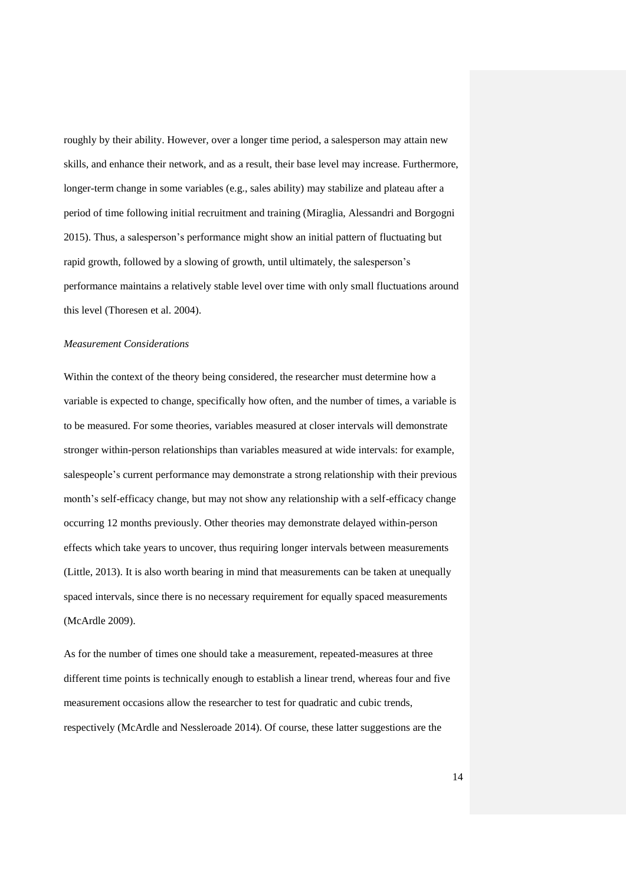roughly by their ability. However, over a longer time period, a salesperson may attain new skills, and enhance their network, and as a result, their base level may increase. Furthermore, longer-term change in some variables (e.g., sales ability) may stabilize and plateau after a period of time following initial recruitment and training (Miraglia, Alessandri and Borgogni 2015). Thus, a salesperson's performance might show an initial pattern of fluctuating but rapid growth, followed by a slowing of growth, until ultimately, the salesperson's performance maintains a relatively stable level over time with only small fluctuations around this level (Thoresen et al. 2004).

## *Measurement Considerations*

Within the context of the theory being considered, the researcher must determine how a variable is expected to change, specifically how often, and the number of times, a variable is to be measured. For some theories, variables measured at closer intervals will demonstrate stronger within-person relationships than variables measured at wide intervals: for example, salespeople's current performance may demonstrate a strong relationship with their previous month's self-efficacy change, but may not show any relationship with a self-efficacy change occurring 12 months previously. Other theories may demonstrate delayed within-person effects which take years to uncover, thus requiring longer intervals between measurements (Little, 2013). It is also worth bearing in mind that measurements can be taken at unequally spaced intervals, since there is no necessary requirement for equally spaced measurements (McArdle 2009).

As for the number of times one should take a measurement, repeated-measures at three different time points is technically enough to establish a linear trend, whereas four and five measurement occasions allow the researcher to test for quadratic and cubic trends, respectively (McArdle and Nessleroade 2014). Of course, these latter suggestions are the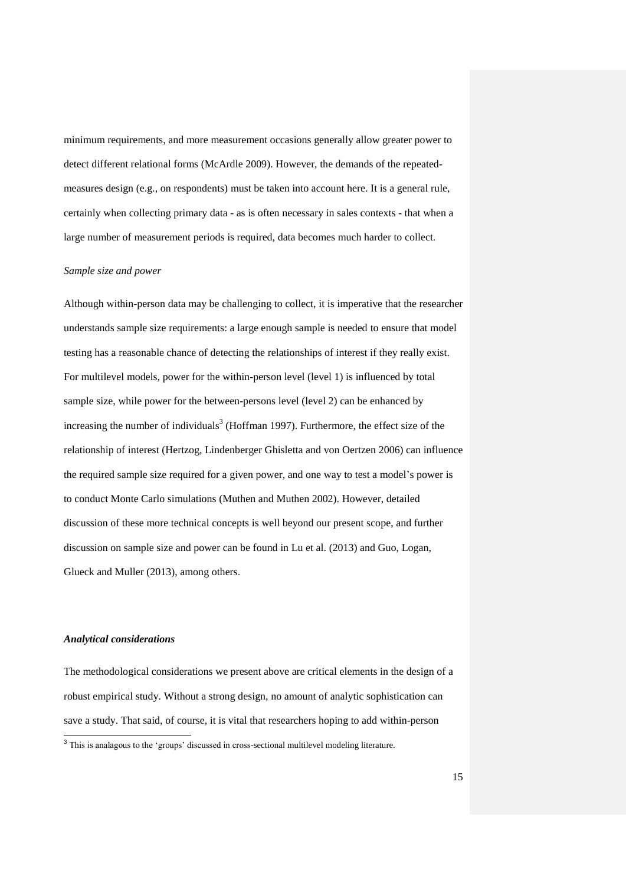minimum requirements, and more measurement occasions generally allow greater power to detect different relational forms (McArdle 2009). However, the demands of the repeatedmeasures design (e.g., on respondents) must be taken into account here. It is a general rule, certainly when collecting primary data - as is often necessary in sales contexts - that when a large number of measurement periods is required, data becomes much harder to collect.

#### *Sample size and power*

Although within-person data may be challenging to collect, it is imperative that the researcher understands sample size requirements: a large enough sample is needed to ensure that model testing has a reasonable chance of detecting the relationships of interest if they really exist. For multilevel models, power for the within-person level (level 1) is influenced by total sample size, while power for the between-persons level (level 2) can be enhanced by increasing the number of individuals<sup>3</sup> (Hoffman 1997). Furthermore, the effect size of the relationship of interest (Hertzog, Lindenberger Ghisletta and von Oertzen 2006) can influence the required sample size required for a given power, and one way to test a model's power is to conduct Monte Carlo simulations (Muthen and Muthen 2002). However, detailed discussion of these more technical concepts is well beyond our present scope, and further discussion on sample size and power can be found in Lu et al. (2013) and Guo, Logan, Glueck and Muller (2013), among others.

#### *Analytical considerations*

The methodological considerations we present above are critical elements in the design of a robust empirical study. Without a strong design, no amount of analytic sophistication can save a study. That said, of course, it is vital that researchers hoping to add within-person

<sup>&</sup>lt;sup>3</sup> This is analagous to the 'groups' discussed in cross-sectional multilevel modeling literature.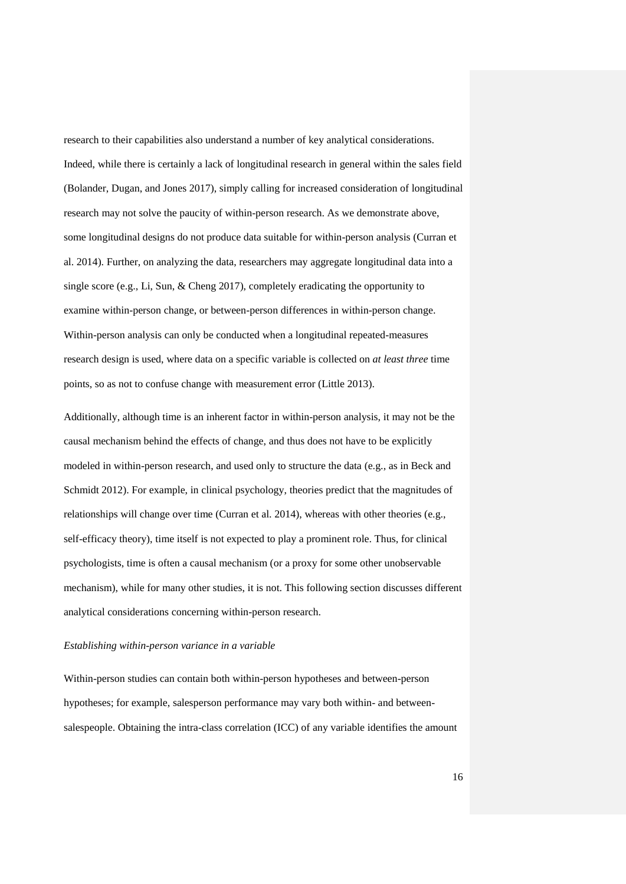research to their capabilities also understand a number of key analytical considerations. Indeed, while there is certainly a lack of longitudinal research in general within the sales field (Bolander, Dugan, and Jones 2017), simply calling for increased consideration of longitudinal research may not solve the paucity of within-person research. As we demonstrate above, some longitudinal designs do not produce data suitable for within-person analysis (Curran et al. 2014). Further, on analyzing the data, researchers may aggregate longitudinal data into a single score (e.g., Li, Sun, & Cheng 2017), completely eradicating the opportunity to examine within-person change, or between-person differences in within-person change. Within-person analysis can only be conducted when a longitudinal repeated-measures research design is used, where data on a specific variable is collected on *at least three* time points, so as not to confuse change with measurement error (Little 2013).

Additionally, although time is an inherent factor in within-person analysis, it may not be the causal mechanism behind the effects of change, and thus does not have to be explicitly modeled in within-person research, and used only to structure the data (e.g., as in Beck and Schmidt 2012). For example, in clinical psychology, theories predict that the magnitudes of relationships will change over time (Curran et al. 2014), whereas with other theories (e.g., self-efficacy theory), time itself is not expected to play a prominent role. Thus, for clinical psychologists, time is often a causal mechanism (or a proxy for some other unobservable mechanism), while for many other studies, it is not. This following section discusses different analytical considerations concerning within-person research.

#### *Establishing within-person variance in a variable*

Within-person studies can contain both within-person hypotheses and between-person hypotheses; for example, salesperson performance may vary both within- and betweensalespeople. Obtaining the intra-class correlation (ICC) of any variable identifies the amount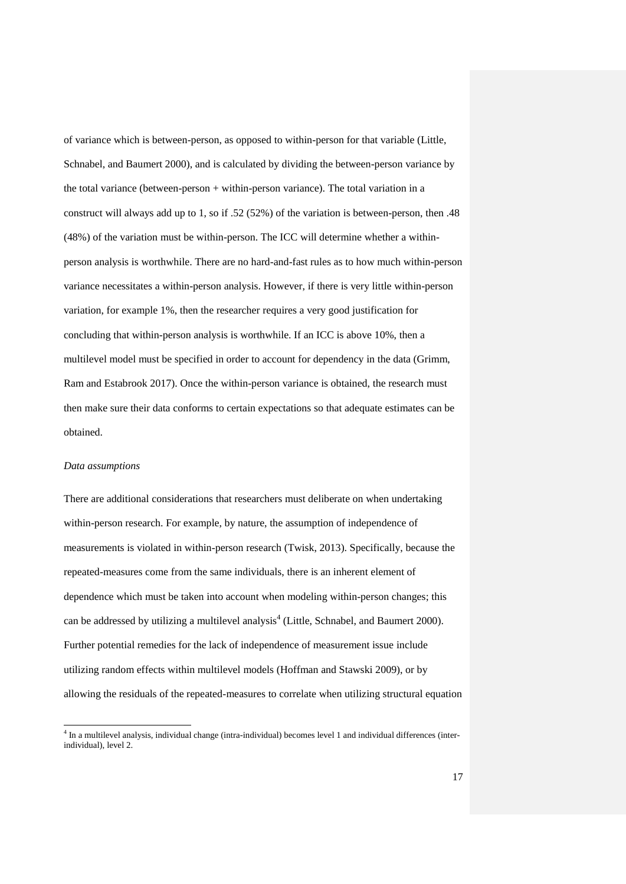of variance which is between-person, as opposed to within-person for that variable (Little, Schnabel, and Baumert 2000), and is calculated by dividing the between-person variance by the total variance (between-person  $+$  within-person variance). The total variation in a construct will always add up to 1, so if .52 (52%) of the variation is between-person, then .48 (48%) of the variation must be within-person. The ICC will determine whether a withinperson analysis is worthwhile. There are no hard-and-fast rules as to how much within-person variance necessitates a within-person analysis. However, if there is very little within-person variation, for example 1%, then the researcher requires a very good justification for concluding that within-person analysis is worthwhile. If an ICC is above 10%, then a multilevel model must be specified in order to account for dependency in the data (Grimm, Ram and Estabrook 2017). Once the within-person variance is obtained, the research must then make sure their data conforms to certain expectations so that adequate estimates can be obtained.

## *Data assumptions*

l

There are additional considerations that researchers must deliberate on when undertaking within-person research. For example, by nature, the assumption of independence of measurements is violated in within-person research (Twisk, 2013). Specifically, because the repeated-measures come from the same individuals, there is an inherent element of dependence which must be taken into account when modeling within-person changes; this can be addressed by utilizing a multilevel analysis<sup>4</sup> (Little, Schnabel, and Baumert 2000). Further potential remedies for the lack of independence of measurement issue include utilizing random effects within multilevel models (Hoffman and Stawski 2009), or by allowing the residuals of the repeated-measures to correlate when utilizing structural equation

<sup>&</sup>lt;sup>4</sup> In a multilevel analysis, individual change (intra-individual) becomes level 1 and individual differences (interindividual), level 2.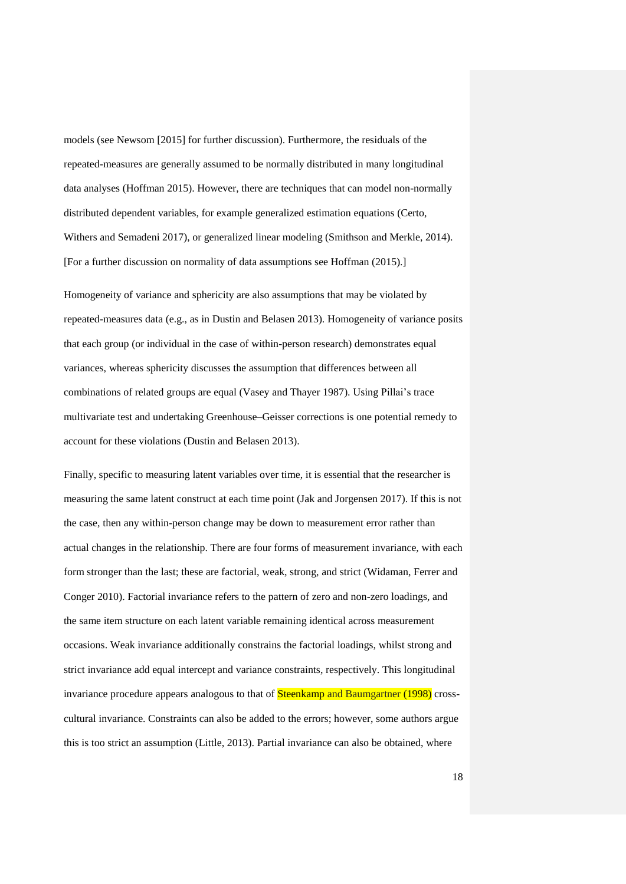models (see Newsom [2015] for further discussion). Furthermore, the residuals of the repeated-measures are generally assumed to be normally distributed in many longitudinal data analyses (Hoffman 2015). However, there are techniques that can model non-normally distributed dependent variables, for example generalized estimation equations (Certo, Withers and Semadeni 2017), or generalized linear modeling (Smithson and Merkle, 2014). [For a further discussion on normality of data assumptions see Hoffman (2015).]

Homogeneity of variance and sphericity are also assumptions that may be violated by repeated-measures data (e.g., as in Dustin and Belasen 2013). Homogeneity of variance posits that each group (or individual in the case of within-person research) demonstrates equal variances, whereas sphericity discusses the assumption that differences between all combinations of related groups are equal (Vasey and Thayer 1987). Using Pillai's trace multivariate test and undertaking Greenhouse–Geisser corrections is one potential remedy to account for these violations (Dustin and Belasen 2013).

Finally, specific to measuring latent variables over time, it is essential that the researcher is measuring the same latent construct at each time point (Jak and Jorgensen 2017). If this is not the case, then any within-person change may be down to measurement error rather than actual changes in the relationship. There are four forms of measurement invariance, with each form stronger than the last; these are factorial, weak, strong, and strict (Widaman, Ferrer and Conger 2010). Factorial invariance refers to the pattern of zero and non-zero loadings, and the same item structure on each latent variable remaining identical across measurement occasions. Weak invariance additionally constrains the factorial loadings, whilst strong and strict invariance add equal intercept and variance constraints, respectively. This longitudinal invariance procedure appears analogous to that of **Steenkamp and Baumgartner (1998)** crosscultural invariance. Constraints can also be added to the errors; however, some authors argue this is too strict an assumption (Little, 2013). Partial invariance can also be obtained, where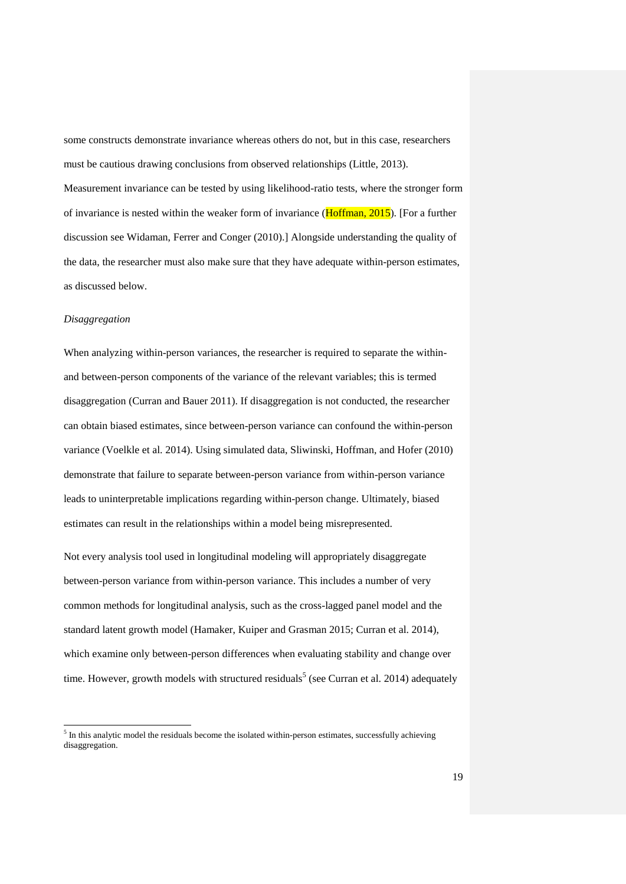some constructs demonstrate invariance whereas others do not, but in this case, researchers must be cautious drawing conclusions from observed relationships (Little, 2013).

Measurement invariance can be tested by using likelihood-ratio tests, where the stronger form of invariance is nested within the weaker form of invariance (Hoffman, 2015). [For a further discussion see Widaman, Ferrer and Conger (2010).] Alongside understanding the quality of the data, the researcher must also make sure that they have adequate within-person estimates, as discussed below.

## *Disaggregation*

l

When analyzing within-person variances, the researcher is required to separate the withinand between-person components of the variance of the relevant variables; this is termed disaggregation (Curran and Bauer 2011). If disaggregation is not conducted, the researcher can obtain biased estimates, since between-person variance can confound the within-person variance (Voelkle et al. 2014). Using simulated data, Sliwinski, Hoffman, and Hofer (2010) demonstrate that failure to separate between-person variance from within-person variance leads to uninterpretable implications regarding within-person change. Ultimately, biased estimates can result in the relationships within a model being misrepresented.

Not every analysis tool used in longitudinal modeling will appropriately disaggregate between-person variance from within-person variance. This includes a number of very common methods for longitudinal analysis, such as the cross-lagged panel model and the standard latent growth model (Hamaker, Kuiper and Grasman 2015; Curran et al. 2014), which examine only between-person differences when evaluating stability and change over time. However, growth models with structured residuals<sup>5</sup> (see Curran et al. 2014) adequately

 $<sup>5</sup>$  In this analytic model the residuals become the isolated within-person estimates, successfully achieving</sup> disaggregation.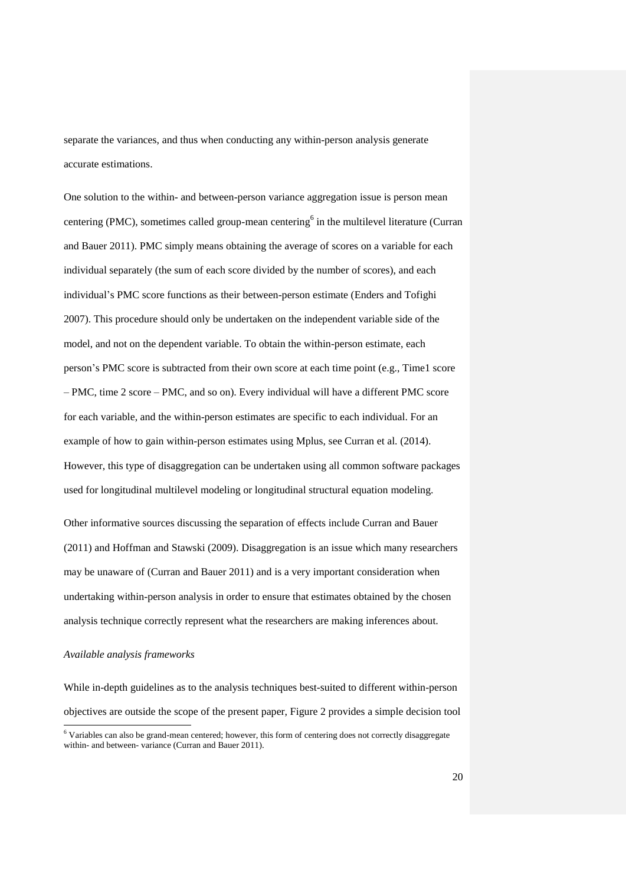separate the variances, and thus when conducting any within-person analysis generate accurate estimations.

One solution to the within- and between-person variance aggregation issue is person mean centering (PMC), sometimes called group-mean centering<sup>6</sup> in the multilevel literature (Curran and Bauer 2011). PMC simply means obtaining the average of scores on a variable for each individual separately (the sum of each score divided by the number of scores), and each individual's PMC score functions as their between-person estimate (Enders and Tofighi 2007). This procedure should only be undertaken on the independent variable side of the model, and not on the dependent variable. To obtain the within-person estimate, each person's PMC score is subtracted from their own score at each time point (e.g., Time1 score – PMC, time 2 score – PMC, and so on). Every individual will have a different PMC score for each variable, and the within-person estimates are specific to each individual. For an example of how to gain within-person estimates using Mplus, see Curran et al. (2014). However, this type of disaggregation can be undertaken using all common software packages used for longitudinal multilevel modeling or longitudinal structural equation modeling.

Other informative sources discussing the separation of effects include Curran and Bauer (2011) and Hoffman and Stawski (2009). Disaggregation is an issue which many researchers may be unaware of (Curran and Bauer 2011) and is a very important consideration when undertaking within-person analysis in order to ensure that estimates obtained by the chosen analysis technique correctly represent what the researchers are making inferences about.

## *Available analysis frameworks*

l

While in-depth guidelines as to the analysis techniques best-suited to different within-person objectives are outside the scope of the present paper, Figure 2 provides a simple decision tool

<sup>&</sup>lt;sup>6</sup> Variables can also be grand-mean centered; however, this form of centering does not correctly disaggregate within- and between- variance (Curran and Bauer 2011).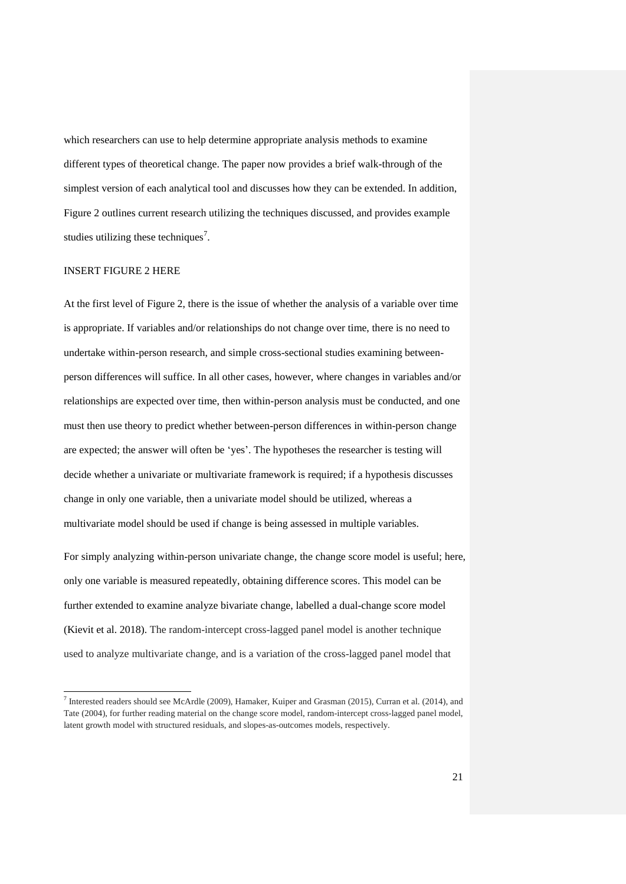which researchers can use to help determine appropriate analysis methods to examine different types of theoretical change. The paper now provides a brief walk-through of the simplest version of each analytical tool and discusses how they can be extended. In addition, Figure 2 outlines current research utilizing the techniques discussed, and provides example studies utilizing these techniques<sup>7</sup>.

# INSERT FIGURE 2 HERE

At the first level of Figure 2, there is the issue of whether the analysis of a variable over time is appropriate. If variables and/or relationships do not change over time, there is no need to undertake within-person research, and simple cross-sectional studies examining betweenperson differences will suffice. In all other cases, however, where changes in variables and/or relationships are expected over time, then within-person analysis must be conducted, and one must then use theory to predict whether between-person differences in within-person change are expected; the answer will often be 'yes'. The hypotheses the researcher is testing will decide whether a univariate or multivariate framework is required; if a hypothesis discusses change in only one variable, then a univariate model should be utilized, whereas a multivariate model should be used if change is being assessed in multiple variables.

For simply analyzing within-person univariate change, the change score model is useful; here, only one variable is measured repeatedly, obtaining difference scores. This model can be further extended to examine analyze bivariate change, labelled a dual-change score model (Kievit et al. 2018). The random-intercept cross-lagged panel model is another technique used to analyze multivariate change, and is a variation of the cross-lagged panel model that

 7 Interested readers should see McArdle (2009), Hamaker, Kuiper and Grasman (2015), Curran et al. (2014), and Tate (2004), for further reading material on the change score model, random-intercept cross-lagged panel model, latent growth model with structured residuals, and slopes-as-outcomes models, respectively.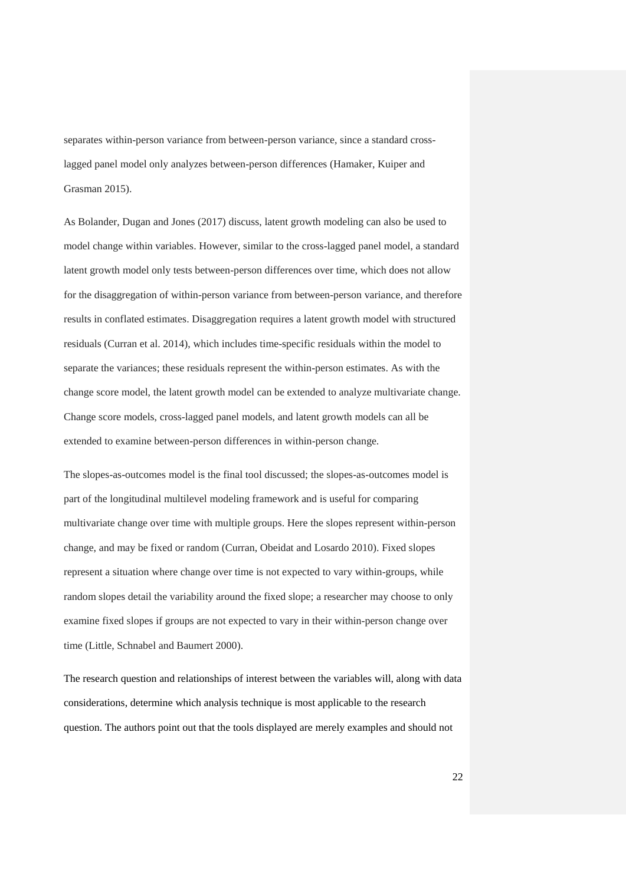separates within-person variance from between-person variance, since a standard crosslagged panel model only analyzes between-person differences (Hamaker, Kuiper and Grasman 2015).

As Bolander, Dugan and Jones (2017) discuss, latent growth modeling can also be used to model change within variables. However, similar to the cross-lagged panel model, a standard latent growth model only tests between-person differences over time, which does not allow for the disaggregation of within-person variance from between-person variance, and therefore results in conflated estimates. Disaggregation requires a latent growth model with structured residuals (Curran et al. 2014), which includes time-specific residuals within the model to separate the variances; these residuals represent the within-person estimates. As with the change score model, the latent growth model can be extended to analyze multivariate change. Change score models, cross-lagged panel models, and latent growth models can all be extended to examine between-person differences in within-person change.

The slopes-as-outcomes model is the final tool discussed; the slopes-as-outcomes model is part of the longitudinal multilevel modeling framework and is useful for comparing multivariate change over time with multiple groups. Here the slopes represent within-person change, and may be fixed or random (Curran, Obeidat and Losardo 2010). Fixed slopes represent a situation where change over time is not expected to vary within-groups, while random slopes detail the variability around the fixed slope; a researcher may choose to only examine fixed slopes if groups are not expected to vary in their within-person change over time (Little, Schnabel and Baumert 2000).

The research question and relationships of interest between the variables will, along with data considerations, determine which analysis technique is most applicable to the research question. The authors point out that the tools displayed are merely examples and should not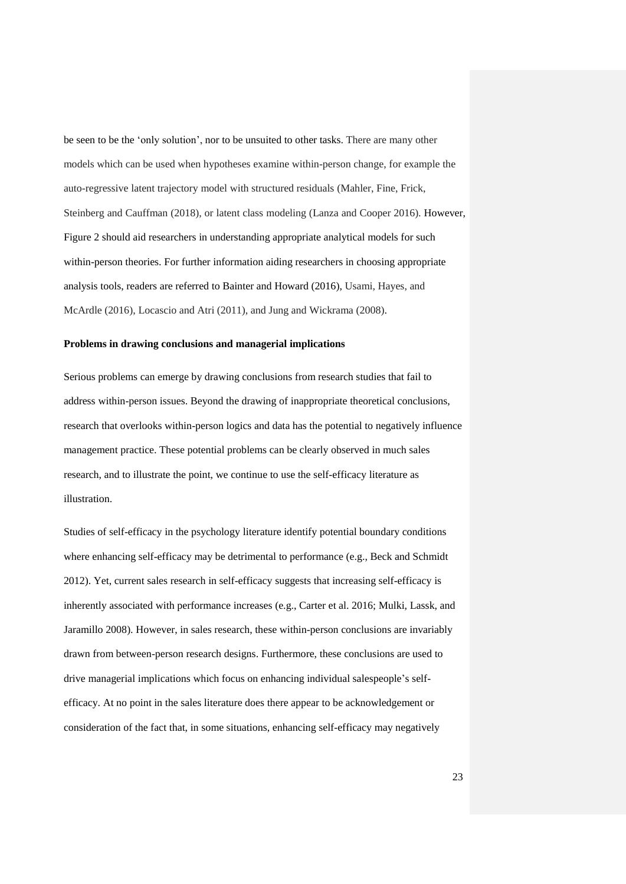be seen to be the 'only solution', nor to be unsuited to other tasks. There are many other models which can be used when hypotheses examine within-person change, for example the auto-regressive latent trajectory model with structured residuals (Mahler, Fine, Frick, Steinberg and Cauffman (2018), or latent class modeling (Lanza and Cooper 2016). However, Figure 2 should aid researchers in understanding appropriate analytical models for such within-person theories. For further information aiding researchers in choosing appropriate analysis tools, readers are referred to Bainter and Howard (2016), Usami, Hayes, and McArdle (2016), Locascio and Atri (2011), and Jung and Wickrama (2008).

#### **Problems in drawing conclusions and managerial implications**

Serious problems can emerge by drawing conclusions from research studies that fail to address within-person issues. Beyond the drawing of inappropriate theoretical conclusions, research that overlooks within-person logics and data has the potential to negatively influence management practice. These potential problems can be clearly observed in much sales research, and to illustrate the point, we continue to use the self-efficacy literature as illustration.

Studies of self-efficacy in the psychology literature identify potential boundary conditions where enhancing self-efficacy may be detrimental to performance (e.g., Beck and Schmidt 2012). Yet, current sales research in self-efficacy suggests that increasing self-efficacy is inherently associated with performance increases (e.g., Carter et al. 2016; Mulki, Lassk, and Jaramillo 2008). However, in sales research, these within-person conclusions are invariably drawn from between-person research designs. Furthermore, these conclusions are used to drive managerial implications which focus on enhancing individual salespeople's selfefficacy. At no point in the sales literature does there appear to be acknowledgement or consideration of the fact that, in some situations, enhancing self-efficacy may negatively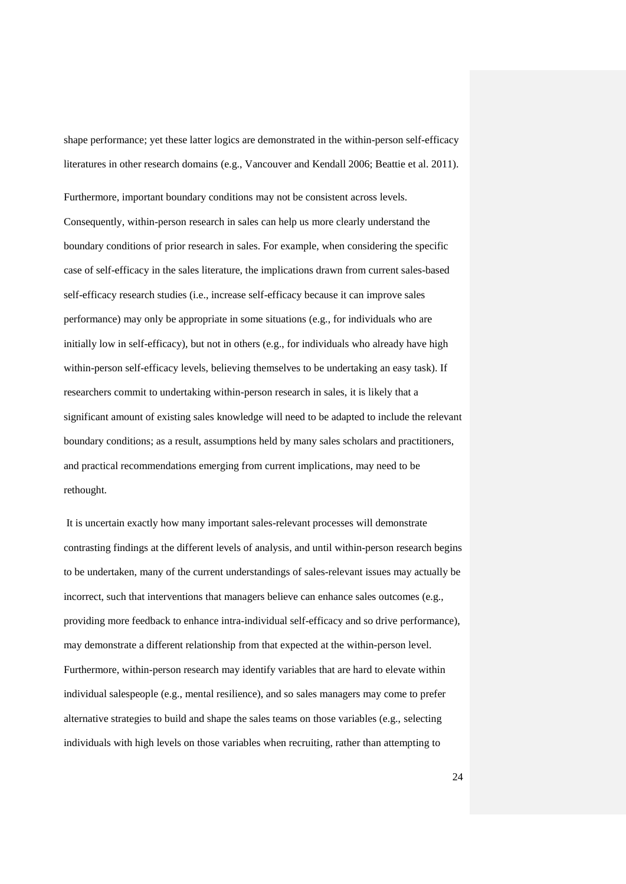shape performance; yet these latter logics are demonstrated in the within-person self-efficacy literatures in other research domains (e.g., Vancouver and Kendall 2006; Beattie et al. 2011).

Furthermore, important boundary conditions may not be consistent across levels. Consequently, within-person research in sales can help us more clearly understand the boundary conditions of prior research in sales. For example, when considering the specific case of self-efficacy in the sales literature, the implications drawn from current sales-based self-efficacy research studies (i.e., increase self-efficacy because it can improve sales performance) may only be appropriate in some situations (e.g., for individuals who are initially low in self-efficacy), but not in others (e.g., for individuals who already have high within-person self-efficacy levels, believing themselves to be undertaking an easy task). If researchers commit to undertaking within-person research in sales, it is likely that a significant amount of existing sales knowledge will need to be adapted to include the relevant boundary conditions; as a result, assumptions held by many sales scholars and practitioners, and practical recommendations emerging from current implications, may need to be rethought.

It is uncertain exactly how many important sales-relevant processes will demonstrate contrasting findings at the different levels of analysis, and until within-person research begins to be undertaken, many of the current understandings of sales-relevant issues may actually be incorrect, such that interventions that managers believe can enhance sales outcomes (e.g., providing more feedback to enhance intra-individual self-efficacy and so drive performance), may demonstrate a different relationship from that expected at the within-person level. Furthermore, within-person research may identify variables that are hard to elevate within individual salespeople (e.g., mental resilience), and so sales managers may come to prefer alternative strategies to build and shape the sales teams on those variables (e.g., selecting individuals with high levels on those variables when recruiting, rather than attempting to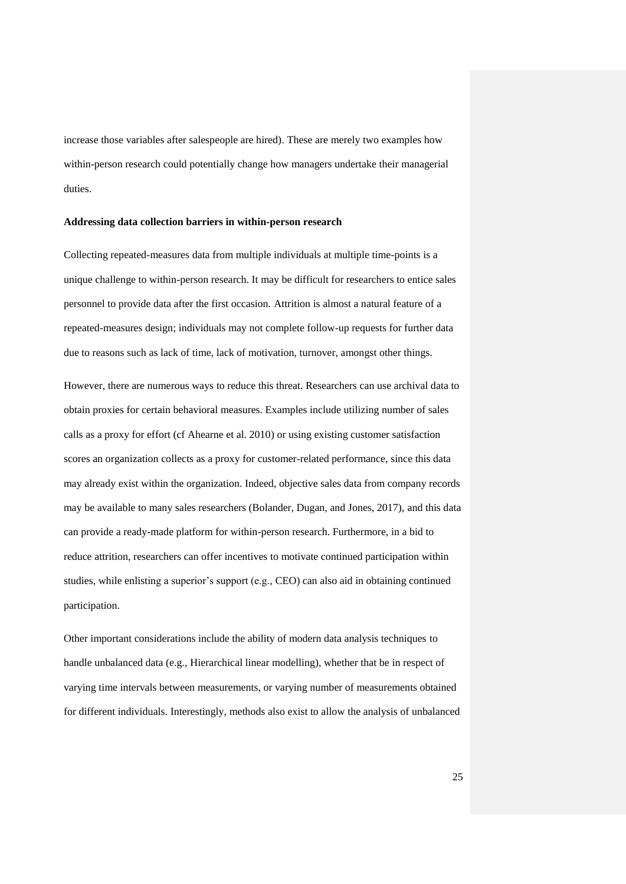increase those variables after salespeople are hired). These are merely two examples how within-person research could potentially change how managers undertake their managerial duties.

#### **Addressing data collection barriers in within-person research**

Collecting repeated-measures data from multiple individuals at multiple time-points is a unique challenge to within-person research. It may be difficult for researchers to entice sales personnel to provide data after the first occasion. Attrition is almost a natural feature of a repeated-measures design; individuals may not complete follow-up requests for further data due to reasons such as lack of time, lack of motivation, turnover, amongst other things.

However, there are numerous ways to reduce this threat. Researchers can use archival data to obtain proxies for certain behavioral measures. Examples include utilizing number of sales calls as a proxy for effort (cf Ahearne et al. 2010) or using existing customer satisfaction scores an organization collects as a proxy for customer-related performance, since this data may already exist within the organization. Indeed, objective sales data from company records may be available to many sales researchers (Bolander, Dugan, and Jones, 2017), and this data can provide a ready-made platform for within-person research. Furthermore, in a bid to reduce attrition, researchers can offer incentives to motivate continued participation within studies, while enlisting a superior's support (e.g., CEO) can also aid in obtaining continued participation.

Other important considerations include the ability of modern data analysis techniques to handle unbalanced data (e.g., Hierarchical linear modelling), whether that be in respect of varying time intervals between measurements, or varying number of measurements obtained for different individuals. Interestingly, methods also exist to allow the analysis of unbalanced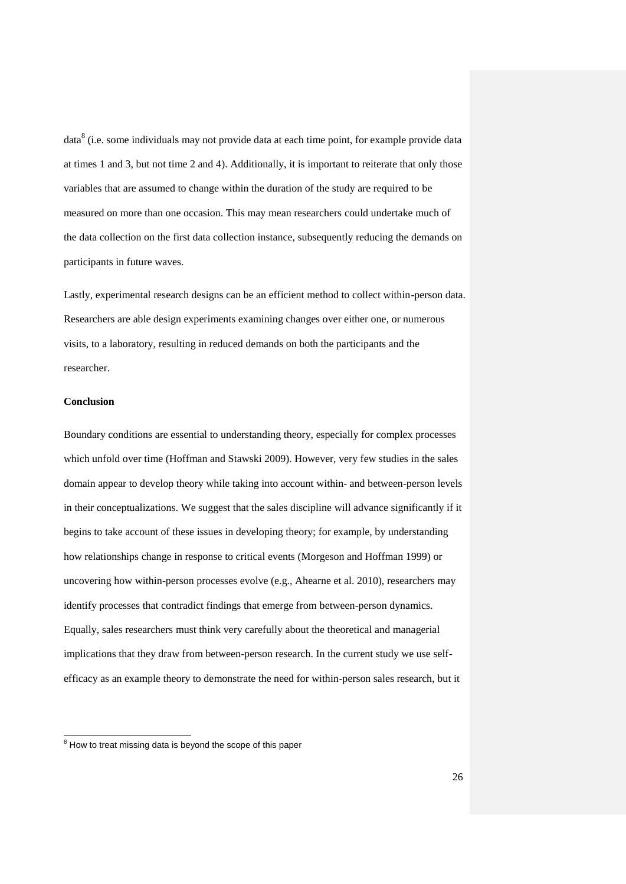data $8$  (i.e. some individuals may not provide data at each time point, for example provide data at times 1 and 3, but not time 2 and 4). Additionally, it is important to reiterate that only those variables that are assumed to change within the duration of the study are required to be measured on more than one occasion. This may mean researchers could undertake much of the data collection on the first data collection instance, subsequently reducing the demands on participants in future waves.

Lastly, experimental research designs can be an efficient method to collect within-person data. Researchers are able design experiments examining changes over either one, or numerous visits, to a laboratory, resulting in reduced demands on both the participants and the researcher.

## **Conclusion**

l

Boundary conditions are essential to understanding theory, especially for complex processes which unfold over time (Hoffman and Stawski 2009). However, very few studies in the sales domain appear to develop theory while taking into account within- and between-person levels in their conceptualizations. We suggest that the sales discipline will advance significantly if it begins to take account of these issues in developing theory; for example, by understanding how relationships change in response to critical events (Morgeson and Hoffman 1999) or uncovering how within-person processes evolve (e.g., Ahearne et al. 2010), researchers may identify processes that contradict findings that emerge from between-person dynamics. Equally, sales researchers must think very carefully about the theoretical and managerial implications that they draw from between-person research. In the current study we use selfefficacy as an example theory to demonstrate the need for within-person sales research, but it

 $8$  How to treat missing data is beyond the scope of this paper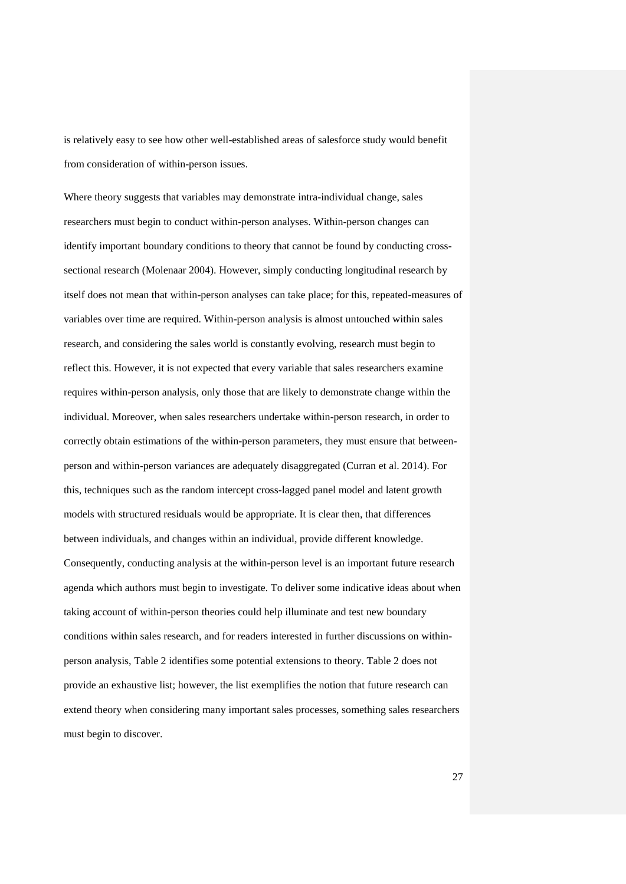is relatively easy to see how other well-established areas of salesforce study would benefit from consideration of within-person issues.

Where theory suggests that variables may demonstrate intra-individual change, sales researchers must begin to conduct within-person analyses. Within-person changes can identify important boundary conditions to theory that cannot be found by conducting crosssectional research (Molenaar 2004). However, simply conducting longitudinal research by itself does not mean that within-person analyses can take place; for this, repeated-measures of variables over time are required. Within-person analysis is almost untouched within sales research, and considering the sales world is constantly evolving, research must begin to reflect this. However, it is not expected that every variable that sales researchers examine requires within-person analysis, only those that are likely to demonstrate change within the individual. Moreover, when sales researchers undertake within-person research, in order to correctly obtain estimations of the within-person parameters, they must ensure that betweenperson and within-person variances are adequately disaggregated (Curran et al. 2014). For this, techniques such as the random intercept cross-lagged panel model and latent growth models with structured residuals would be appropriate. It is clear then, that differences between individuals, and changes within an individual, provide different knowledge. Consequently, conducting analysis at the within-person level is an important future research agenda which authors must begin to investigate. To deliver some indicative ideas about when taking account of within-person theories could help illuminate and test new boundary conditions within sales research, and for readers interested in further discussions on withinperson analysis, Table 2 identifies some potential extensions to theory. Table 2 does not provide an exhaustive list; however, the list exemplifies the notion that future research can extend theory when considering many important sales processes, something sales researchers must begin to discover.

27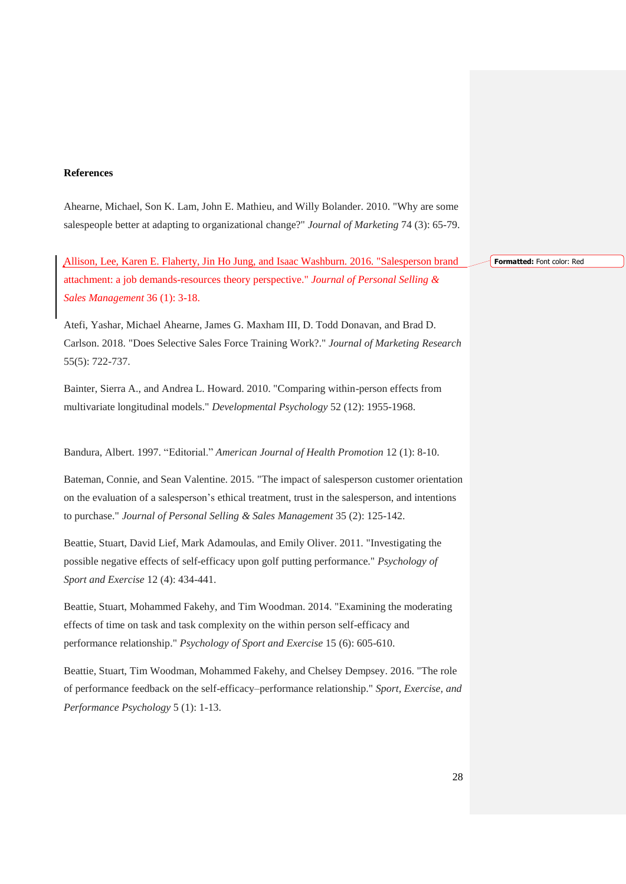#### **References**

Ahearne, Michael, Son K. Lam, John E. Mathieu, and Willy Bolander. 2010. "Why are some salespeople better at adapting to organizational change?" *Journal of Marketing* 74 (3): 65-79.

Allison, Lee, Karen E. Flaherty, Jin Ho Jung, and Isaac Washburn. 2016. "Salesperson brand attachment: a job demands-resources theory perspective." *Journal of Personal Selling & Sales Management* 36 (1): 3-18.

Atefi, Yashar, Michael Ahearne, James G. Maxham III, D. Todd Donavan, and Brad D. Carlson. 2018. "Does Selective Sales Force Training Work?." *Journal of Marketing Research* 55(5): 722-737.

Bainter, Sierra A., and Andrea L. Howard. 2010. "Comparing within-person effects from multivariate longitudinal models." *Developmental Psychology* 52 (12): 1955-1968.

Bandura, Albert. 1997. "Editorial." *American Journal of Health Promotion* 12 (1): 8-10.

Bateman, Connie, and Sean Valentine. 2015. "The impact of salesperson customer orientation on the evaluation of a salesperson's ethical treatment, trust in the salesperson, and intentions to purchase." *Journal of Personal Selling & Sales Management* 35 (2): 125-142.

Beattie, Stuart, David Lief, Mark Adamoulas, and Emily Oliver. 2011. "Investigating the possible negative effects of self-efficacy upon golf putting performance." *Psychology of Sport and Exercise* 12 (4): 434-441.

Beattie, Stuart, Mohammed Fakehy, and Tim Woodman. 2014. "Examining the moderating effects of time on task and task complexity on the within person self-efficacy and performance relationship." *Psychology of Sport and Exercise* 15 (6): 605-610.

Beattie, Stuart, Tim Woodman, Mohammed Fakehy, and Chelsey Dempsey. 2016. "The role of performance feedback on the self-efficacy–performance relationship." *Sport, Exercise, and Performance Psychology* 5 (1): 1-13.

**Formatted:** Font color: Red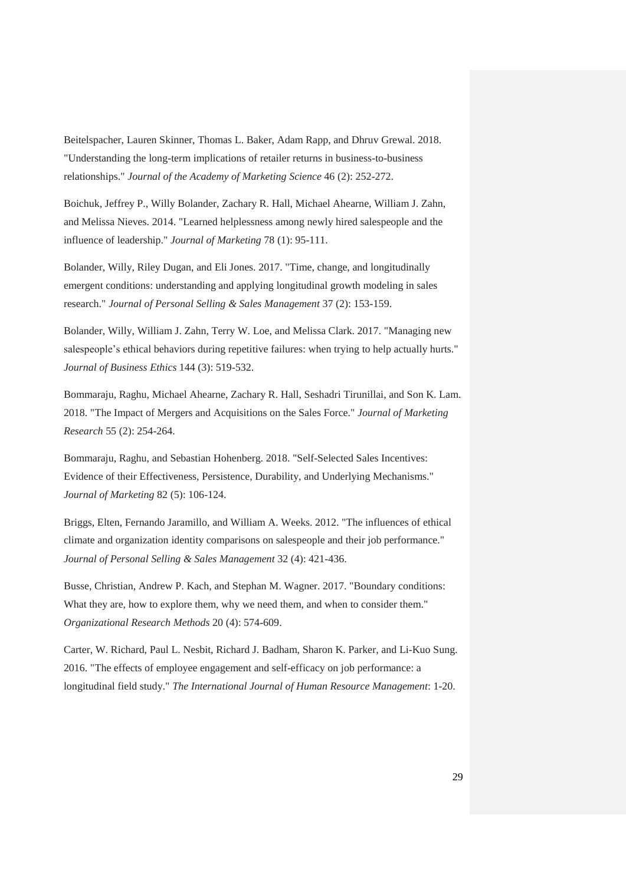Beitelspacher, Lauren Skinner, Thomas L. Baker, Adam Rapp, and Dhruv Grewal. 2018. "Understanding the long-term implications of retailer returns in business-to-business relationships." *Journal of the Academy of Marketing Science* 46 (2): 252-272.

Boichuk, Jeffrey P., Willy Bolander, Zachary R. Hall, Michael Ahearne, William J. Zahn, and Melissa Nieves. 2014. "Learned helplessness among newly hired salespeople and the influence of leadership." *Journal of Marketing* 78 (1): 95-111.

Bolander, Willy, Riley Dugan, and Eli Jones. 2017. "Time, change, and longitudinally emergent conditions: understanding and applying longitudinal growth modeling in sales research." *Journal of Personal Selling & Sales Management* 37 (2): 153-159.

Bolander, Willy, William J. Zahn, Terry W. Loe, and Melissa Clark. 2017. "Managing new salespeople's ethical behaviors during repetitive failures: when trying to help actually hurts." *Journal of Business Ethics* 144 (3): 519-532.

Bommaraju, Raghu, Michael Ahearne, Zachary R. Hall, Seshadri Tirunillai, and Son K. Lam. 2018. "The Impact of Mergers and Acquisitions on the Sales Force." *Journal of Marketing Research* 55 (2): 254-264.

Bommaraju, Raghu, and Sebastian Hohenberg. 2018. "Self-Selected Sales Incentives: Evidence of their Effectiveness, Persistence, Durability, and Underlying Mechanisms." *Journal of Marketing* 82 (5): 106-124.

Briggs, Elten, Fernando Jaramillo, and William A. Weeks. 2012. "The influences of ethical climate and organization identity comparisons on salespeople and their job performance." *Journal of Personal Selling & Sales Management* 32 (4): 421-436.

Busse, Christian, Andrew P. Kach, and Stephan M. Wagner. 2017. "Boundary conditions: What they are, how to explore them, why we need them, and when to consider them." *Organizational Research Methods* 20 (4): 574-609.

Carter, W. Richard, Paul L. Nesbit, Richard J. Badham, Sharon K. Parker, and Li-Kuo Sung. 2016. "The effects of employee engagement and self-efficacy on job performance: a longitudinal field study." *The International Journal of Human Resource Management*: 1-20.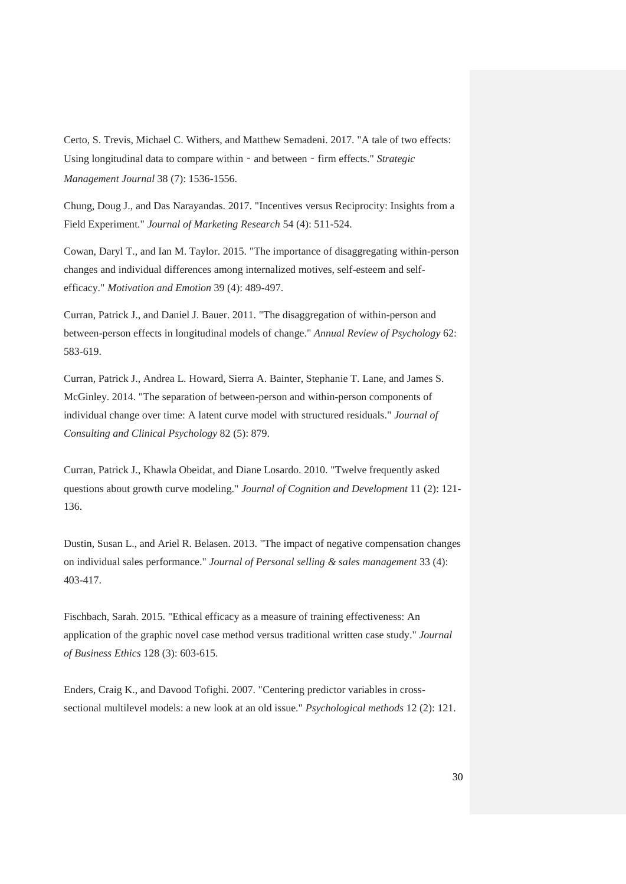Certo, S. Trevis, Michael C. Withers, and Matthew Semadeni. 2017. "A tale of two effects: Using longitudinal data to compare within - and between - firm effects." *Strategic Management Journal* 38 (7): 1536-1556.

Chung, Doug J., and Das Narayandas. 2017. "Incentives versus Reciprocity: Insights from a Field Experiment." *Journal of Marketing Research* 54 (4): 511-524.

Cowan, Daryl T., and Ian M. Taylor. 2015. "The importance of disaggregating within-person changes and individual differences among internalized motives, self-esteem and selfefficacy." *Motivation and Emotion* 39 (4): 489-497.

Curran, Patrick J., and Daniel J. Bauer. 2011. "The disaggregation of within-person and between-person effects in longitudinal models of change." *Annual Review of Psychology* 62: 583-619.

Curran, Patrick J., Andrea L. Howard, Sierra A. Bainter, Stephanie T. Lane, and James S. McGinley. 2014. "The separation of between-person and within-person components of individual change over time: A latent curve model with structured residuals." *Journal of Consulting and Clinical Psychology* 82 (5): 879.

Curran, Patrick J., Khawla Obeidat, and Diane Losardo. 2010. "Twelve frequently asked questions about growth curve modeling." *Journal of Cognition and Development* 11 (2): 121- 136.

Dustin, Susan L., and Ariel R. Belasen. 2013. "The impact of negative compensation changes on individual sales performance." *Journal of Personal selling & sales management* 33 (4): 403-417.

Fischbach, Sarah. 2015. "Ethical efficacy as a measure of training effectiveness: An application of the graphic novel case method versus traditional written case study." *Journal of Business Ethics* 128 (3): 603-615.

Enders, Craig K., and Davood Tofighi. 2007. "Centering predictor variables in crosssectional multilevel models: a new look at an old issue." *Psychological methods* 12 (2): 121.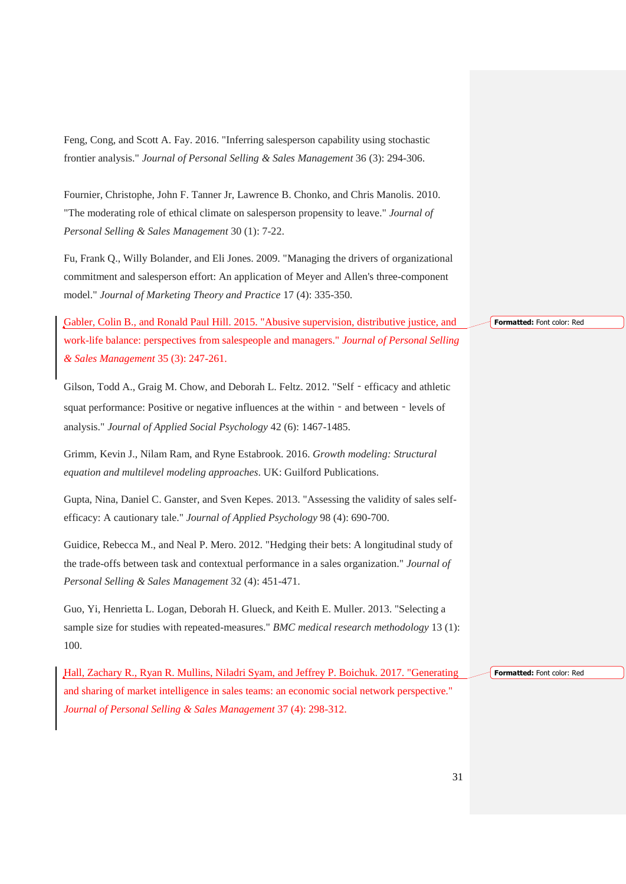Feng, Cong, and Scott A. Fay. 2016. "Inferring salesperson capability using stochastic frontier analysis." *Journal of Personal Selling & Sales Management* 36 (3): 294-306.

Fournier, Christophe, John F. Tanner Jr, Lawrence B. Chonko, and Chris Manolis. 2010. "The moderating role of ethical climate on salesperson propensity to leave." *Journal of Personal Selling & Sales Management* 30 (1): 7-22.

Fu, Frank Q., Willy Bolander, and Eli Jones. 2009. "Managing the drivers of organizational commitment and salesperson effort: An application of Meyer and Allen's three-component model." *Journal of Marketing Theory and Practice* 17 (4): 335-350.

Gabler, Colin B., and Ronald Paul Hill. 2015. "Abusive supervision, distributive justice, and work-life balance: perspectives from salespeople and managers." *Journal of Personal Selling & Sales Management* 35 (3): 247-261.

Gilson, Todd A., Graig M. Chow, and Deborah L. Feltz. 2012. "Self‐efficacy and athletic squat performance: Positive or negative influences at the within - and between - levels of analysis." *Journal of Applied Social Psychology* 42 (6): 1467-1485.

Grimm, Kevin J., Nilam Ram, and Ryne Estabrook. 2016. *Growth modeling: Structural equation and multilevel modeling approaches*. UK: Guilford Publications.

Gupta, Nina, Daniel C. Ganster, and Sven Kepes. 2013. "Assessing the validity of sales selfefficacy: A cautionary tale." *Journal of Applied Psychology* 98 (4): 690-700.

Guidice, Rebecca M., and Neal P. Mero. 2012. "Hedging their bets: A longitudinal study of the trade-offs between task and contextual performance in a sales organization." *Journal of Personal Selling & Sales Management* 32 (4): 451-471.

Guo, Yi, Henrietta L. Logan, Deborah H. Glueck, and Keith E. Muller. 2013. "Selecting a sample size for studies with repeated-measures." *BMC medical research methodology* 13 (1): 100.

Hall, Zachary R., Ryan R. Mullins, Niladri Syam, and Jeffrey P. Boichuk. 2017. "Generating and sharing of market intelligence in sales teams: an economic social network perspective." *Journal of Personal Selling & Sales Management* 37 (4): 298-312.

**Formatted:** Font color: Red

**Formatted:** Font color: Red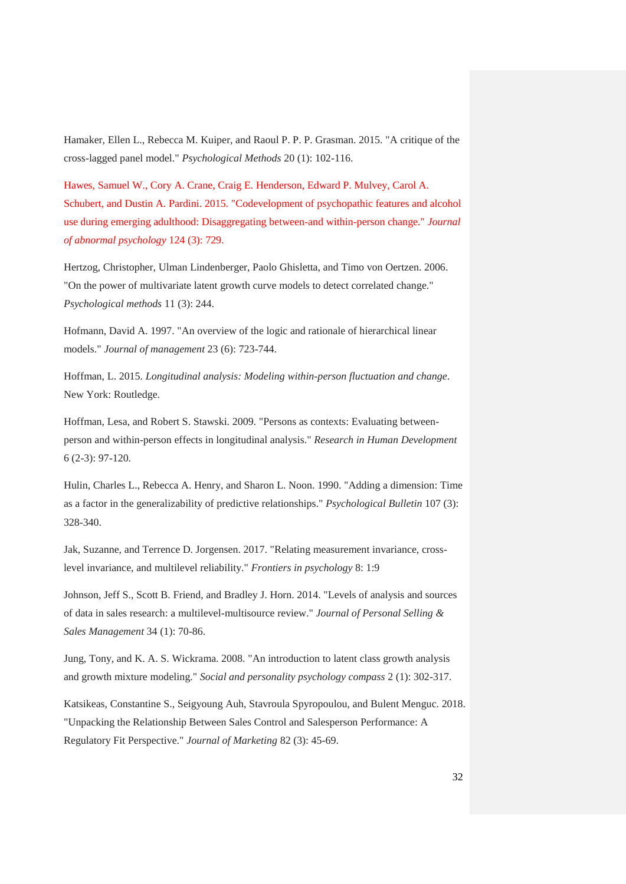Hamaker, Ellen L., Rebecca M. Kuiper, and Raoul P. P. P. Grasman. 2015. "A critique of the cross-lagged panel model." *Psychological Methods* 20 (1): 102-116.

Hawes, Samuel W., Cory A. Crane, Craig E. Henderson, Edward P. Mulvey, Carol A. Schubert, and Dustin A. Pardini. 2015. "Codevelopment of psychopathic features and alcohol use during emerging adulthood: Disaggregating between-and within-person change." *Journal of abnormal psychology* 124 (3): 729.

Hertzog, Christopher, Ulman Lindenberger, Paolo Ghisletta, and Timo von Oertzen. 2006. "On the power of multivariate latent growth curve models to detect correlated change." *Psychological methods* 11 (3): 244.

Hofmann, David A. 1997. "An overview of the logic and rationale of hierarchical linear models." *Journal of management* 23 (6): 723-744.

Hoffman, L. 2015. *Longitudinal analysis: Modeling within-person fluctuation and change*. New York: Routledge.

Hoffman, Lesa, and Robert S. Stawski. 2009. "Persons as contexts: Evaluating betweenperson and within-person effects in longitudinal analysis." *Research in Human Development* 6 (2-3): 97-120.

Hulin, Charles L., Rebecca A. Henry, and Sharon L. Noon. 1990. "Adding a dimension: Time as a factor in the generalizability of predictive relationships." *Psychological Bulletin* 107 (3): 328-340.

Jak, Suzanne, and Terrence D. Jorgensen. 2017. "Relating measurement invariance, crosslevel invariance, and multilevel reliability." *Frontiers in psychology* 8: 1:9

Johnson, Jeff S., Scott B. Friend, and Bradley J. Horn. 2014. "Levels of analysis and sources of data in sales research: a multilevel-multisource review." *Journal of Personal Selling & Sales Management* 34 (1): 70-86.

Jung, Tony, and K. A. S. Wickrama. 2008. "An introduction to latent class growth analysis and growth mixture modeling." *Social and personality psychology compass* 2 (1): 302-317.

Katsikeas, Constantine S., Seigyoung Auh, Stavroula Spyropoulou, and Bulent Menguc. 2018. "Unpacking the Relationship Between Sales Control and Salesperson Performance: A Regulatory Fit Perspective." *Journal of Marketing* 82 (3): 45-69.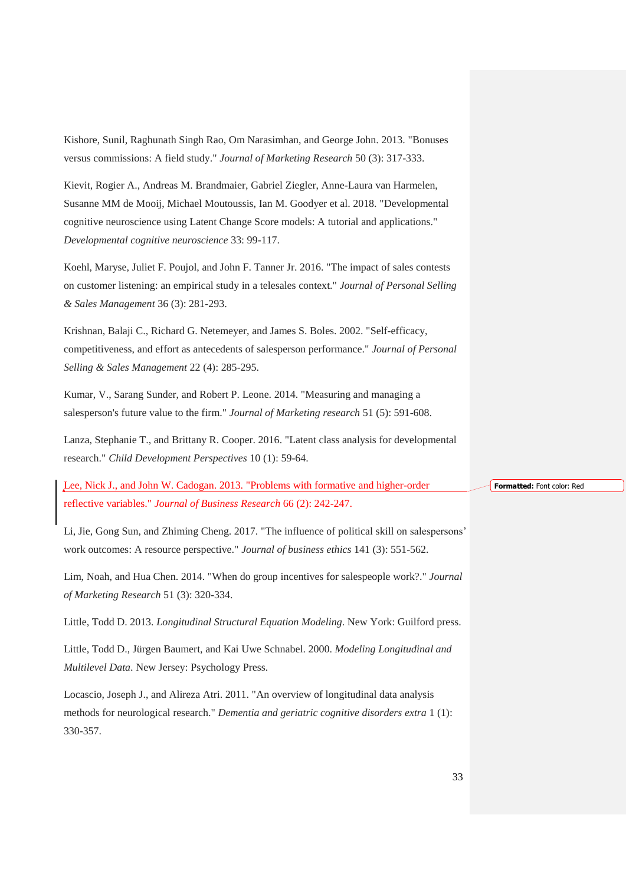Kishore, Sunil, Raghunath Singh Rao, Om Narasimhan, and George John. 2013. "Bonuses versus commissions: A field study." *Journal of Marketing Research* 50 (3): 317-333.

Kievit, Rogier A., Andreas M. Brandmaier, Gabriel Ziegler, Anne-Laura van Harmelen, Susanne MM de Mooij, Michael Moutoussis, Ian M. Goodyer et al. 2018. "Developmental cognitive neuroscience using Latent Change Score models: A tutorial and applications." *Developmental cognitive neuroscience* 33: 99-117.

Koehl, Maryse, Juliet F. Poujol, and John F. Tanner Jr. 2016. "The impact of sales contests on customer listening: an empirical study in a telesales context." *Journal of Personal Selling & Sales Management* 36 (3): 281-293.

Krishnan, Balaji C., Richard G. Netemeyer, and James S. Boles. 2002. "Self-efficacy, competitiveness, and effort as antecedents of salesperson performance." *Journal of Personal Selling & Sales Management* 22 (4): 285-295.

Kumar, V., Sarang Sunder, and Robert P. Leone. 2014. "Measuring and managing a salesperson's future value to the firm." *Journal of Marketing research* 51 (5): 591-608.

Lanza, Stephanie T., and Brittany R. Cooper. 2016. "Latent class analysis for developmental research." *Child Development Perspectives* 10 (1): 59-64.

Lee, Nick J., and John W. Cadogan. 2013. "Problems with formative and higher-order reflective variables." *Journal of Business Research* 66 (2): 242-247.

Li, Jie, Gong Sun, and Zhiming Cheng. 2017. "The influence of political skill on salespersons' work outcomes: A resource perspective." *Journal of business ethics* 141 (3): 551-562.

Lim, Noah, and Hua Chen. 2014. "When do group incentives for salespeople work?." *Journal of Marketing Research* 51 (3): 320-334.

Little, Todd D. 2013. *Longitudinal Structural Equation Modeling*. New York: Guilford press.

Little, Todd D., Jürgen Baumert, and Kai Uwe Schnabel. 2000. *Modeling Longitudinal and Multilevel Data*. New Jersey: Psychology Press.

Locascio, Joseph J., and Alireza Atri. 2011. "An overview of longitudinal data analysis methods for neurological research." *Dementia and geriatric cognitive disorders extra* 1 (1): 330-357.

**Formatted:** Font color: Red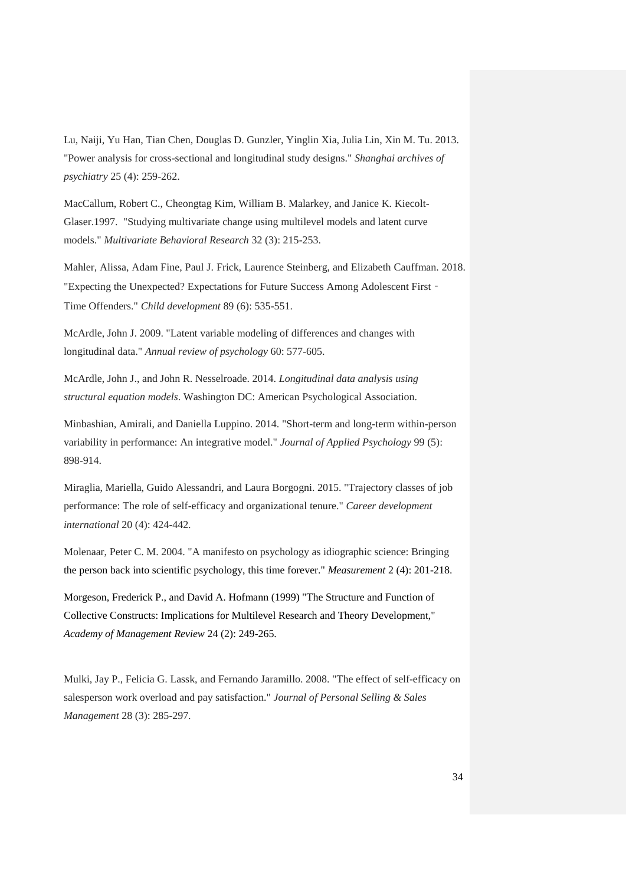Lu, Naiji, Yu Han, Tian Chen, Douglas D. Gunzler, Yinglin Xia, Julia Lin, Xin M. Tu. 2013. "Power analysis for cross-sectional and longitudinal study designs." *Shanghai archives of psychiatry* 25 (4): 259-262.

MacCallum, Robert C., Cheongtag Kim, William B. Malarkey, and Janice K. Kiecolt-Glaser.1997. "Studying multivariate change using multilevel models and latent curve models." *Multivariate Behavioral Research* 32 (3): 215-253.

Mahler, Alissa, Adam Fine, Paul J. Frick, Laurence Steinberg, and Elizabeth Cauffman. 2018. "Expecting the Unexpected? Expectations for Future Success Among Adolescent First -Time Offenders." *Child development* 89 (6): 535-551.

McArdle, John J. 2009. "Latent variable modeling of differences and changes with longitudinal data." *Annual review of psychology* 60: 577-605.

McArdle, John J., and John R. Nesselroade. 2014. *Longitudinal data analysis using structural equation models*. Washington DC: American Psychological Association.

Minbashian, Amirali, and Daniella Luppino. 2014. "Short-term and long-term within-person variability in performance: An integrative model." *Journal of Applied Psychology* 99 (5): 898-914.

Miraglia, Mariella, Guido Alessandri, and Laura Borgogni. 2015. "Trajectory classes of job performance: The role of self-efficacy and organizational tenure." *Career development international* 20 (4): 424-442.

Molenaar, Peter C. M. 2004. "A manifesto on psychology as idiographic science: Bringing the person back into scientific psychology, this time forever." *Measurement* 2 (4): 201-218.

Morgeson, Frederick P., and David A. Hofmann (1999) "The Structure and Function of Collective Constructs: Implications for Multilevel Research and Theory Development," *Academy of Management Review* 24 (2): 249-265.

Mulki, Jay P., Felicia G. Lassk, and Fernando Jaramillo. 2008. "The effect of self-efficacy on salesperson work overload and pay satisfaction." *Journal of Personal Selling & Sales Management* 28 (3): 285-297.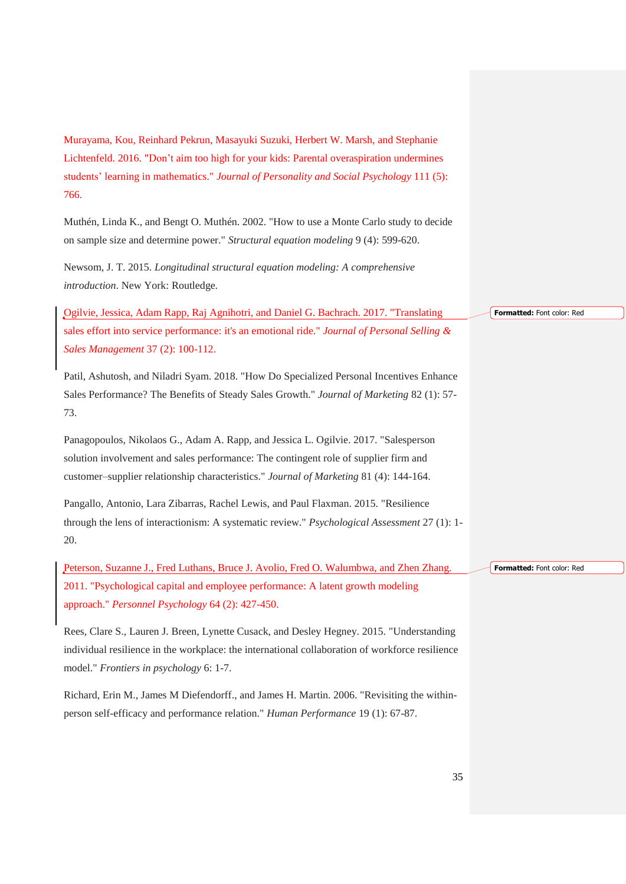Murayama, Kou, Reinhard Pekrun, Masayuki Suzuki, Herbert W. Marsh, and Stephanie Lichtenfeld. 2016. "Don't aim too high for your kids: Parental overaspiration undermines students' learning in mathematics." *Journal of Personality and Social Psychology* 111 (5): 766.

Muthén, Linda K., and Bengt O. Muthén. 2002. "How to use a Monte Carlo study to decide on sample size and determine power." *Structural equation modeling* 9 (4): 599-620.

Newsom, J. T. 2015. *Longitudinal structural equation modeling: A comprehensive introduction*. New York: Routledge.

Ogilvie, Jessica, Adam Rapp, Raj Agnihotri, and Daniel G. Bachrach. 2017. "Translating sales effort into service performance: it's an emotional ride." *Journal of Personal Selling & Sales Management* 37 (2): 100-112.

Patil, Ashutosh, and Niladri Syam. 2018. "How Do Specialized Personal Incentives Enhance Sales Performance? The Benefits of Steady Sales Growth." *Journal of Marketing* 82 (1): 57- 73.

Panagopoulos, Nikolaos G., Adam A. Rapp, and Jessica L. Ogilvie. 2017. "Salesperson solution involvement and sales performance: The contingent role of supplier firm and customer–supplier relationship characteristics." *Journal of Marketing* 81 (4): 144-164.

Pangallo, Antonio, Lara Zibarras, Rachel Lewis, and Paul Flaxman. 2015. "Resilience through the lens of interactionism: A systematic review." *Psychological Assessment* 27 (1): 1- 20.

Peterson, Suzanne J., Fred Luthans, Bruce J. Avolio, Fred O. Walumbwa, and Zhen Zhang. 2011. "Psychological capital and employee performance: A latent growth modeling approach." *Personnel Psychology* 64 (2): 427-450.

Rees, Clare S., Lauren J. Breen, Lynette Cusack, and Desley Hegney. 2015. "Understanding individual resilience in the workplace: the international collaboration of workforce resilience model." *Frontiers in psychology* 6: 1-7.

Richard, Erin M., James M Diefendorff., and James H. Martin. 2006. "Revisiting the withinperson self-efficacy and performance relation." *Human Performance* 19 (1): 67-87.

#### **Formatted:** Font color: Red

#### **Formatted:** Font color: Red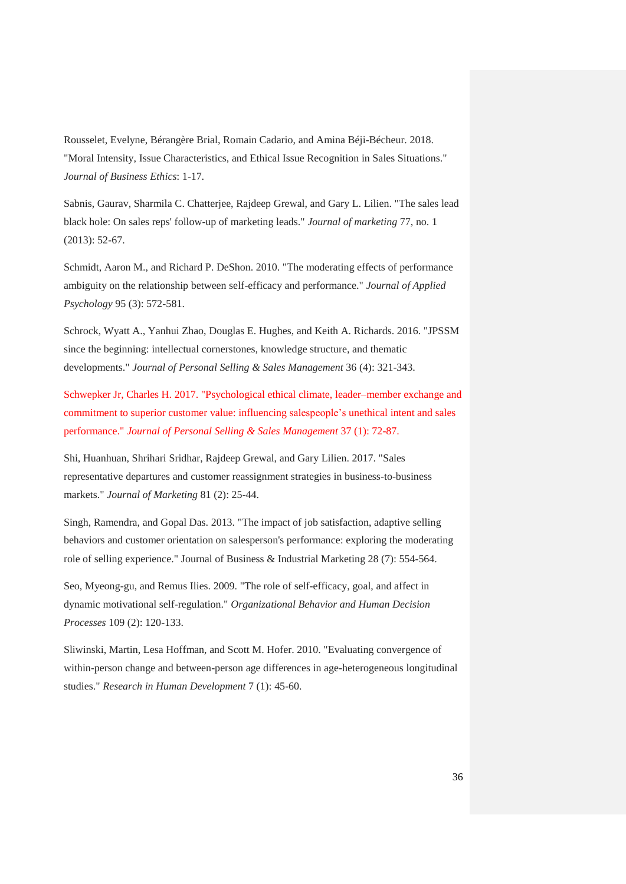Rousselet, Evelyne, Bérangère Brial, Romain Cadario, and Amina Béji-Bécheur. 2018. "Moral Intensity, Issue Characteristics, and Ethical Issue Recognition in Sales Situations." *Journal of Business Ethics*: 1-17.

Sabnis, Gaurav, Sharmila C. Chatterjee, Rajdeep Grewal, and Gary L. Lilien. "The sales lead black hole: On sales reps' follow-up of marketing leads." *Journal of marketing* 77, no. 1 (2013): 52-67.

Schmidt, Aaron M., and Richard P. DeShon. 2010. "The moderating effects of performance ambiguity on the relationship between self-efficacy and performance." *Journal of Applied Psychology* 95 (3): 572-581.

Schrock, Wyatt A., Yanhui Zhao, Douglas E. Hughes, and Keith A. Richards. 2016. "JPSSM since the beginning: intellectual cornerstones, knowledge structure, and thematic developments." *Journal of Personal Selling & Sales Management* 36 (4): 321-343.

Schwepker Jr, Charles H. 2017. "Psychological ethical climate, leader–member exchange and commitment to superior customer value: influencing salespeople's unethical intent and sales performance." *Journal of Personal Selling & Sales Management* 37 (1): 72-87.

Shi, Huanhuan, Shrihari Sridhar, Rajdeep Grewal, and Gary Lilien. 2017. "Sales representative departures and customer reassignment strategies in business-to-business markets." *Journal of Marketing* 81 (2): 25-44.

Singh, Ramendra, and Gopal Das. 2013. "The impact of job satisfaction, adaptive selling behaviors and customer orientation on salesperson's performance: exploring the moderating role of selling experience." Journal of Business & Industrial Marketing 28 (7): 554-564.

Seo, Myeong-gu, and Remus Ilies. 2009. "The role of self-efficacy, goal, and affect in dynamic motivational self-regulation." *Organizational Behavior and Human Decision Processes* 109 (2): 120-133.

Sliwinski, Martin, Lesa Hoffman, and Scott M. Hofer. 2010. "Evaluating convergence of within-person change and between-person age differences in age-heterogeneous longitudinal studies." *Research in Human Development* 7 (1): 45-60.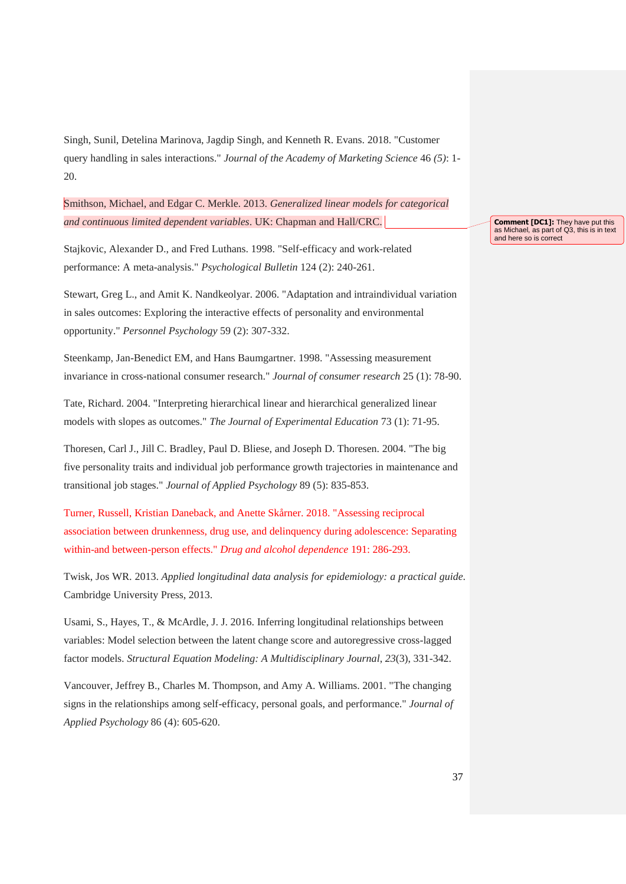Singh, Sunil, Detelina Marinova, Jagdip Singh, and Kenneth R. Evans. 2018. "Customer query handling in sales interactions." *Journal of the Academy of Marketing Science* 46 *(5)*: 1- 20.

Smithson, Michael, and Edgar C. Merkle. 2013. *Generalized linear models for categorical and continuous limited dependent variables*. UK: Chapman and Hall/CRC.

Stajkovic, Alexander D., and Fred Luthans. 1998. "Self-efficacy and work-related performance: A meta-analysis." *Psychological Bulletin* 124 (2): 240-261.

Stewart, Greg L., and Amit K. Nandkeolyar. 2006. "Adaptation and intraindividual variation in sales outcomes: Exploring the interactive effects of personality and environmental opportunity." *Personnel Psychology* 59 (2): 307-332.

Steenkamp, Jan-Benedict EM, and Hans Baumgartner. 1998. "Assessing measurement invariance in cross-national consumer research." *Journal of consumer research* 25 (1): 78-90.

Tate, Richard. 2004. "Interpreting hierarchical linear and hierarchical generalized linear models with slopes as outcomes." *The Journal of Experimental Education* 73 (1): 71-95.

Thoresen, Carl J., Jill C. Bradley, Paul D. Bliese, and Joseph D. Thoresen. 2004. "The big five personality traits and individual job performance growth trajectories in maintenance and transitional job stages." *Journal of Applied Psychology* 89 (5): 835-853.

Turner, Russell, Kristian Daneback, and Anette Skårner. 2018. "Assessing reciprocal association between drunkenness, drug use, and delinquency during adolescence: Separating within-and between-person effects." *Drug and alcohol dependence* 191: 286-293.

Twisk, Jos WR. 2013. *Applied longitudinal data analysis for epidemiology: a practical guide*. Cambridge University Press, 2013.

Usami, S., Hayes, T., & McArdle, J. J. 2016. Inferring longitudinal relationships between variables: Model selection between the latent change score and autoregressive cross-lagged factor models. *Structural Equation Modeling: A Multidisciplinary Journal*, *23*(3), 331-342.

Vancouver, Jeffrey B., Charles M. Thompson, and Amy A. Williams. 2001. "The changing signs in the relationships among self-efficacy, personal goals, and performance." *Journal of Applied Psychology* 86 (4): 605-620.

**Comment [DC1]:** They have put this as Michael, as part of Q3, this is in text and here so is correct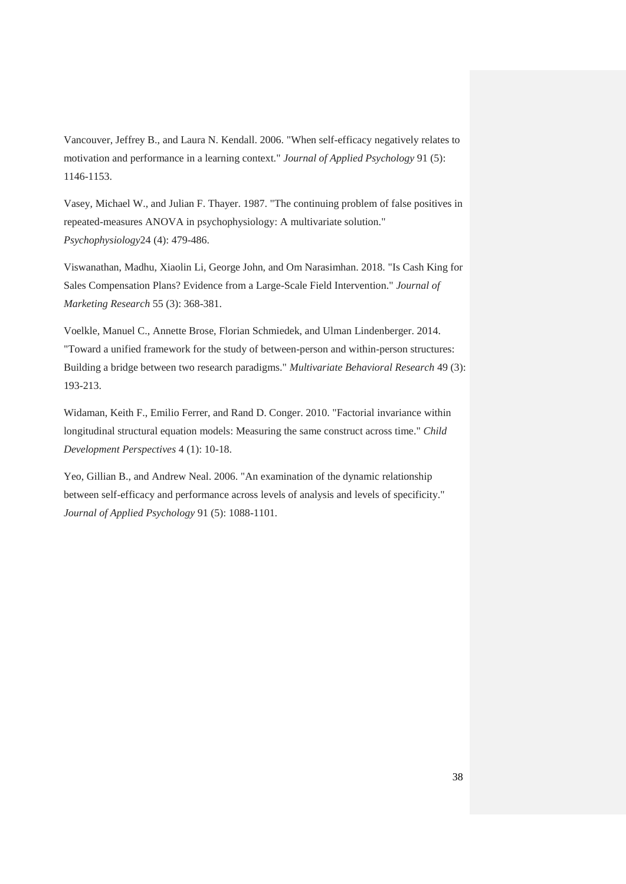Vancouver, Jeffrey B., and Laura N. Kendall. 2006. "When self-efficacy negatively relates to motivation and performance in a learning context." *Journal of Applied Psychology* 91 (5): 1146-1153.

Vasey, Michael W., and Julian F. Thayer. 1987. "The continuing problem of false positives in repeated-measures ANOVA in psychophysiology: A multivariate solution." *Psychophysiology*24 (4): 479-486.

Viswanathan, Madhu, Xiaolin Li, George John, and Om Narasimhan. 2018. "Is Cash King for Sales Compensation Plans? Evidence from a Large-Scale Field Intervention." *Journal of Marketing Research* 55 (3): 368-381.

Voelkle, Manuel C., Annette Brose, Florian Schmiedek, and Ulman Lindenberger. 2014. "Toward a unified framework for the study of between-person and within-person structures: Building a bridge between two research paradigms." *Multivariate Behavioral Research* 49 (3): 193-213.

Widaman, Keith F., Emilio Ferrer, and Rand D. Conger. 2010. "Factorial invariance within longitudinal structural equation models: Measuring the same construct across time." *Child Development Perspectives* 4 (1): 10-18.

Yeo, Gillian B., and Andrew Neal. 2006. "An examination of the dynamic relationship between self-efficacy and performance across levels of analysis and levels of specificity." *Journal of Applied Psychology* 91 (5): 1088-1101.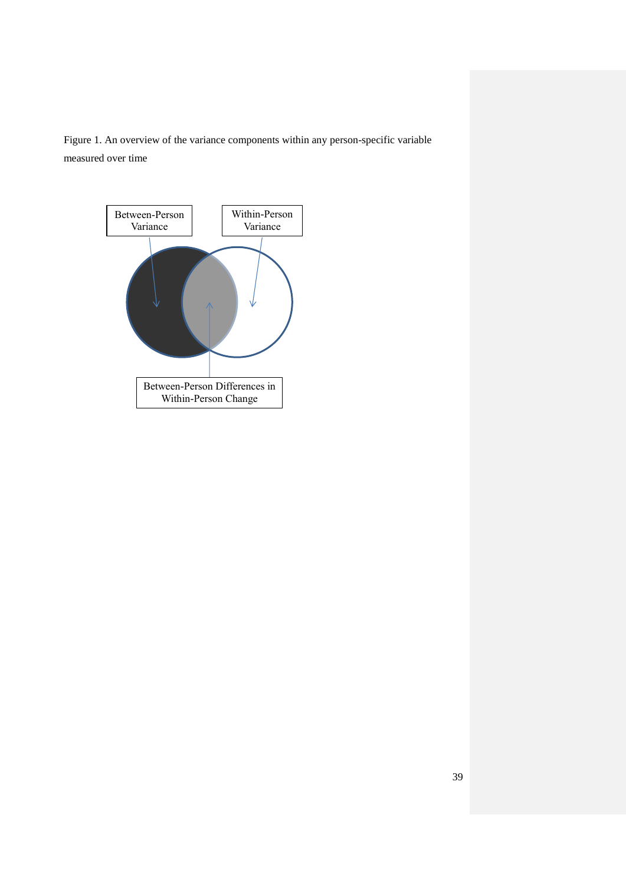Figure 1. An overview of the variance components within any person-specific variable measured over time

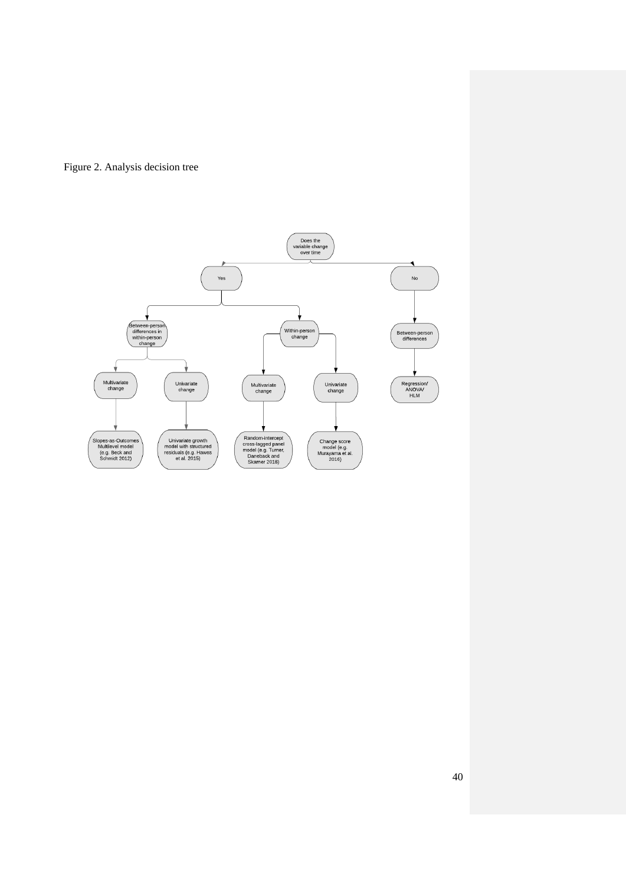

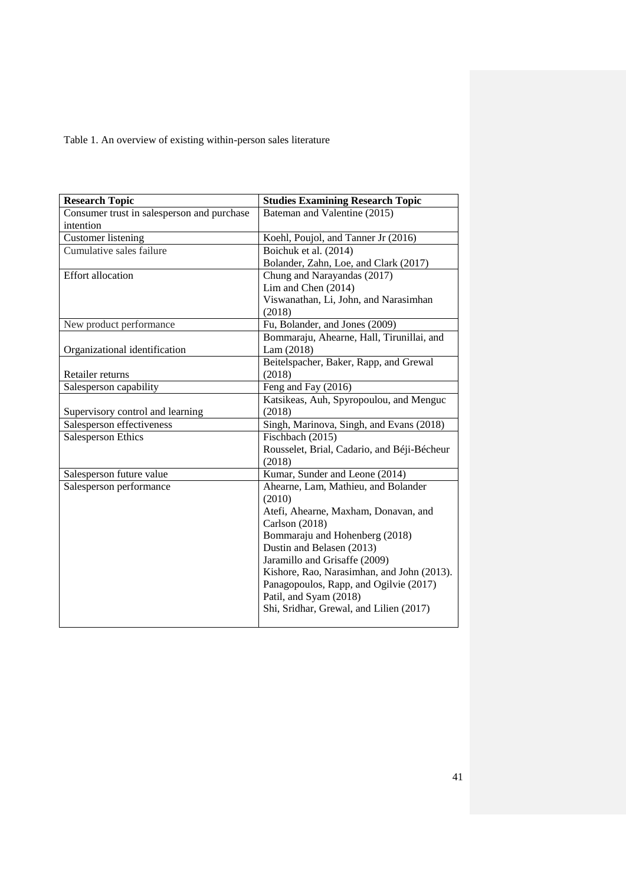Table 1. An overview of existing within-person sales literature

| <b>Research Topic</b>                      | <b>Studies Examining Research Topic</b>       |
|--------------------------------------------|-----------------------------------------------|
| Consumer trust in salesperson and purchase | Bateman and Valentine (2015)                  |
| intention                                  |                                               |
| <b>Customer</b> listening                  | Koehl, Poujol, and Tanner Jr (2016)           |
| Cumulative sales failure                   | Boichuk et al. (2014)                         |
|                                            | Bolander, Zahn, Loe, and Clark (2017)         |
| <b>Effort allocation</b>                   | Chung and Narayandas (2017)                   |
|                                            | Lim and Chen (2014)                           |
|                                            | Viswanathan, Li, John, and Narasimhan         |
|                                            | (2018)                                        |
| New product performance                    | Fu, Bolander, and Jones (2009)                |
|                                            | Bommaraju, Ahearne, Hall, Tirunillai, and     |
| Organizational identification              | Lam(2018)                                     |
|                                            | Beitelspacher, Baker, Rapp, and Grewal        |
| Retailer returns                           | (2018)                                        |
| Salesperson capability                     | Feng and Fay (2016)                           |
|                                            | Katsikeas, Auh, Spyropoulou, and Menguc       |
| Supervisory control and learning           | (2018)                                        |
| Salesperson effectiveness                  | Singh, Marinova, Singh, and Evans (2018)      |
| Salesperson Ethics                         | Fischbach (2015)                              |
|                                            | Rousselet, Brial, Cadario, and Béji-Bécheur   |
|                                            | (2018)                                        |
| Salesperson future value                   | Kumar, Sunder and Leone (2014)                |
| Salesperson performance                    | Ahearne, Lam, Mathieu, and Bolander<br>(2010) |
|                                            | Atefi, Ahearne, Maxham, Donavan, and          |
|                                            | Carlson (2018)                                |
|                                            | Bommaraju and Hohenberg (2018)                |
|                                            | Dustin and Belasen (2013)                     |
|                                            | Jaramillo and Grisaffe (2009)                 |
|                                            | Kishore, Rao, Narasimhan, and John (2013).    |
|                                            | Panagopoulos, Rapp, and Ogilvie (2017)        |
|                                            | Patil, and Syam (2018)                        |
|                                            | Shi, Sridhar, Grewal, and Lilien (2017)       |
|                                            |                                               |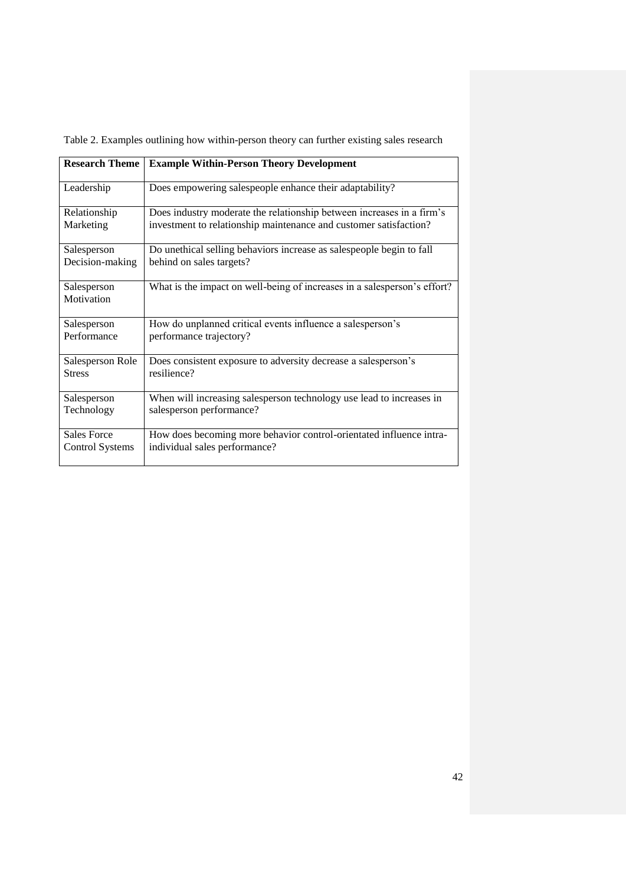|  |  |  | Table 2. Examples outlining how within-person theory can further existing sales research |  |
|--|--|--|------------------------------------------------------------------------------------------|--|
|  |  |  |                                                                                          |  |

| <b>Research Theme</b>     | <b>Example Within-Person Theory Development</b>                          |
|---------------------------|--------------------------------------------------------------------------|
| Leadership                | Does empowering salespeople enhance their adaptability?                  |
| Relationship              | Does industry moderate the relationship between increases in a firm's    |
| Marketing                 | investment to relationship maintenance and customer satisfaction?        |
| Salesperson               | Do unethical selling behaviors increase as salespeople begin to fall     |
| Decision-making           | behind on sales targets?                                                 |
| Salesperson<br>Motivation | What is the impact on well-being of increases in a salesperson's effort? |
| Salesperson               | How do unplanned critical events influence a salesperson's               |
| Performance               | performance trajectory?                                                  |
| Salesperson Role          | Does consistent exposure to adversity decrease a salesperson's           |
| <b>Stress</b>             | resilience?                                                              |
| Salesperson               | When will increasing salesperson technology use lead to increases in     |
| Technology                | salesperson performance?                                                 |
| <b>Sales Force</b>        | How does becoming more behavior control-orientated influence intra-      |
| <b>Control Systems</b>    | individual sales performance?                                            |